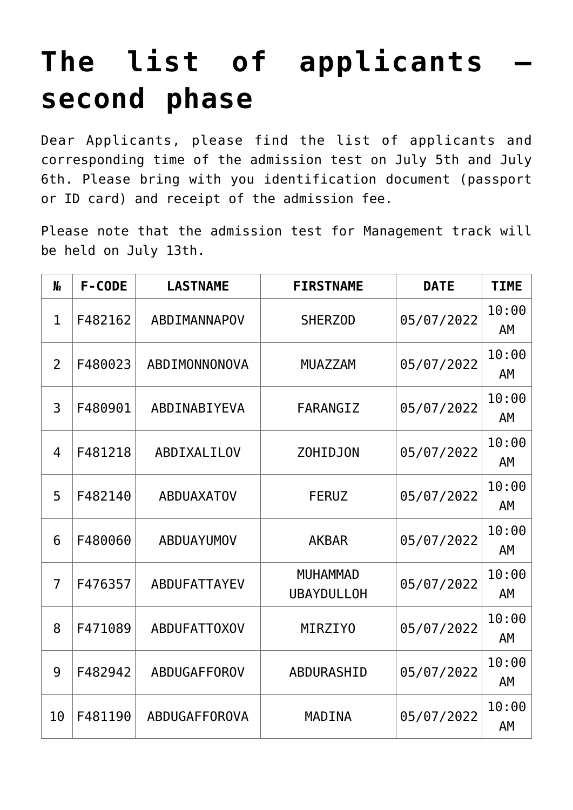## **[The list of applicants –](https://polito.uz/19766/) [second phase](https://polito.uz/19766/)**

Dear Applicants, please find the list of applicants and corresponding time of the admission test on July 5th and July 6th. Please bring with you identification document (passport or ID card) and receipt of the admission fee.

Please note that the admission test for Management track will be held on July 13th.

| $\mathbf{M}_{2}$ | F-CODE  | <b>LASTNAME</b>     | <b>FIRSTNAME</b>                     | <b>DATE</b> | <b>TIME</b>        |
|------------------|---------|---------------------|--------------------------------------|-------------|--------------------|
| $\mathbf{1}$     | F482162 | ABDIMANNAPOV        | <b>SHERZOD</b>                       | 05/07/2022  | 10:00<br><b>AM</b> |
| $\overline{2}$   | F480023 | ABDIMONNONOVA       | <b>MUAZZAM</b>                       | 05/07/2022  | 10:00<br>AM        |
| 3                | F480901 | ABDINABIYEVA        | FARANGIZ                             | 05/07/2022  | 10:00<br>AM        |
| $\overline{4}$   | F481218 | <b>ABDIXALILOV</b>  | <b>ZOHIDJON</b>                      | 05/07/2022  | 10:00<br>AM        |
| 5                | F482140 | <b>ABDUAXATOV</b>   | <b>FERUZ</b>                         | 05/07/2022  | 10:00<br>AM        |
| 6                | F480060 | <b>ABDUAYUMOV</b>   | <b>AKBAR</b>                         | 05/07/2022  | 10:00<br>AM        |
| $\overline{7}$   | F476357 | ABDUFATTAYEV        | <b>MUHAMMAD</b><br><b>UBAYDULLOH</b> | 05/07/2022  | 10:00<br>AM        |
| 8                | F471089 | <b>ABDUFATT0X0V</b> | MIRZIYO                              | 05/07/2022  | 10:00<br>AM        |
| 9                | F482942 | ABDUGAFFOROV        | <b>ABDURASHID</b>                    | 05/07/2022  | 10:00<br>AM        |
| 10               | F481190 | ABDUGAFFOROVA       | <b>MADINA</b>                        | 05/07/2022  | 10:00<br>AM        |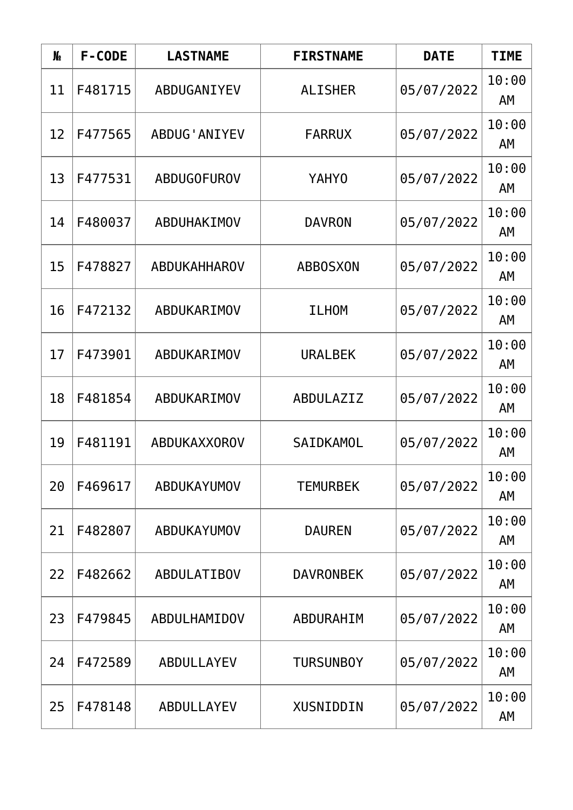| $\mathbf{M}_{2}$ | F-CODE  | <b>LASTNAME</b>      | <b>FIRSTNAME</b> | <b>DATE</b> | <b>TIME</b> |
|------------------|---------|----------------------|------------------|-------------|-------------|
| 11               | F481715 | ABDUGANIYEV          | <b>ALISHER</b>   | 05/07/2022  | 10:00<br>AM |
| 12               | F477565 | <b>ABDUG' ANIYEV</b> | <b>FARRUX</b>    | 05/07/2022  | 10:00<br>AM |
| 13               | F477531 | <b>ABDUGOFUROV</b>   | YAHY0            | 05/07/2022  | 10:00<br>AM |
| 14               | F480037 | ABDUHAKIMOV          | <b>DAVRON</b>    | 05/07/2022  | 10:00<br>AM |
| 15               | F478827 | <b>ABDUKAHHAROV</b>  | <b>ABBOSXON</b>  | 05/07/2022  | 10:00<br>AM |
| 16               | F472132 | ABDUKARIMOV          | <b>ILHOM</b>     | 05/07/2022  | 10:00<br>AM |
| 17               | F473901 | ABDUKARIMOV          | <b>URALBEK</b>   | 05/07/2022  | 10:00<br>AM |
| 18               | F481854 | ABDUKARIMOV          | ABDULAZIZ        | 05/07/2022  | 10:00<br>AM |
| 19               | F481191 | <b>ABDUKAXXOROV</b>  | SAIDKAMOL        | 05/07/2022  | 10:00<br>AΜ |
| 20               | F469617 | ABDUKAYUMOV          | <b>TEMURBEK</b>  | 05/07/2022  | 10:00<br>AM |
| 21               | F482807 | ABDUKAYUMOV          | <b>DAUREN</b>    | 05/07/2022  | 10:00<br>AΜ |
| 22               | F482662 | <b>ABDULATIBOV</b>   | <b>DAVRONBEK</b> | 05/07/2022  | 10:00<br>AM |
| 23               | F479845 | ABDULHAMIDOV         | ABDURAHIM        | 05/07/2022  | 10:00<br>AM |
| 24               | F472589 | <b>ABDULLAYEV</b>    | <b>TURSUNBOY</b> | 05/07/2022  | 10:00<br>AM |
| 25               | F478148 | ABDULLAYEV           | XUSNIDDIN        | 05/07/2022  | 10:00<br>AM |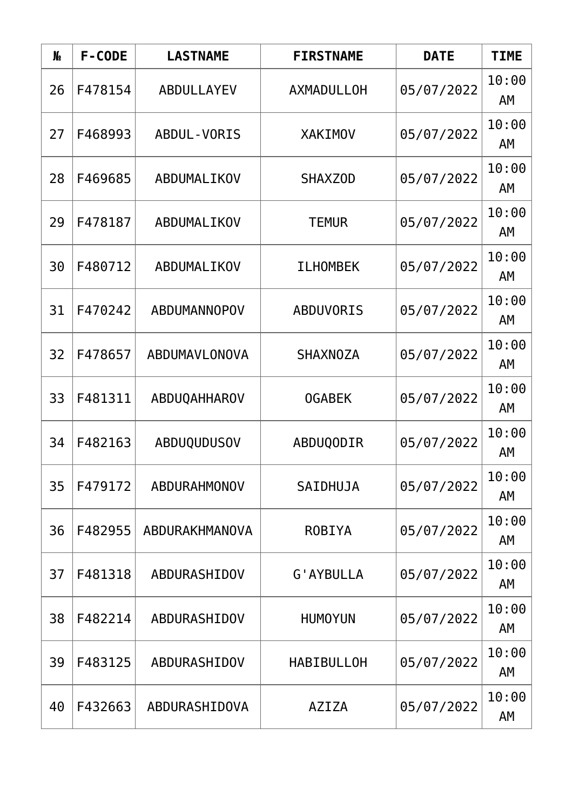| $\mathbf{M}_{2}$ | F-CODE  | <b>LASTNAME</b>    | <b>FIRSTNAME</b>  | <b>DATE</b> | <b>TIME</b> |
|------------------|---------|--------------------|-------------------|-------------|-------------|
| 26               | F478154 | <b>ABDULLAYEV</b>  | <b>AXMADULLOH</b> | 05/07/2022  | 10:00<br>AM |
| 27               | F468993 | <b>ABDUL-VORIS</b> | <b>XAKIMOV</b>    | 05/07/2022  | 10:00<br>AM |
| 28               | F469685 | ABDUMALIKOV        | <b>SHAXZOD</b>    | 05/07/2022  | 10:00<br>AM |
| 29               | F478187 | ABDUMALIKOV        | <b>TEMUR</b>      | 05/07/2022  | 10:00<br>AΜ |
| 30               | F480712 | ABDUMALIKOV        | <b>ILHOMBEK</b>   | 05/07/2022  | 10:00<br>AM |
| 31               | F470242 | ABDUMANNOPOV       | <b>ABDUVORIS</b>  | 05/07/2022  | 10:00<br>AM |
| 32               | F478657 | ABDUMAVLONOVA      | <b>SHAXNOZA</b>   | 05/07/2022  | 10:00<br>AM |
| 33               | F481311 | ABDUQAHHAROV       | <b>OGABEK</b>     | 05/07/2022  | 10:00<br>AM |
| 34               | F482163 | <b>ABDUQUDUSOV</b> | ABDUQODIR         | 05/07/2022  | 10:00<br>AΜ |
| 35               | F479172 | ABDURAHMONOV       | SAIDHUJA          | 05/07/2022  | 10:00<br>AM |
| 36               | F482955 | ABDURAKHMANOVA     | <b>ROBIYA</b>     | 05/07/2022  | 10:00<br>AΜ |
| 37               | F481318 | ABDURASHIDOV       | G'AYBULLA         | 05/07/2022  | 10:00<br>AΜ |
| 38               | F482214 | ABDURASHIDOV       | <b>HUMOYUN</b>    | 05/07/2022  | 10:00<br>AM |
| 39               | F483125 | ABDURASHIDOV       | <b>HABIBULLOH</b> | 05/07/2022  | 10:00<br>AM |
| 40               | F432663 | ABDURASHIDOVA      | <b>AZIZA</b>      | 05/07/2022  | 10:00<br>AM |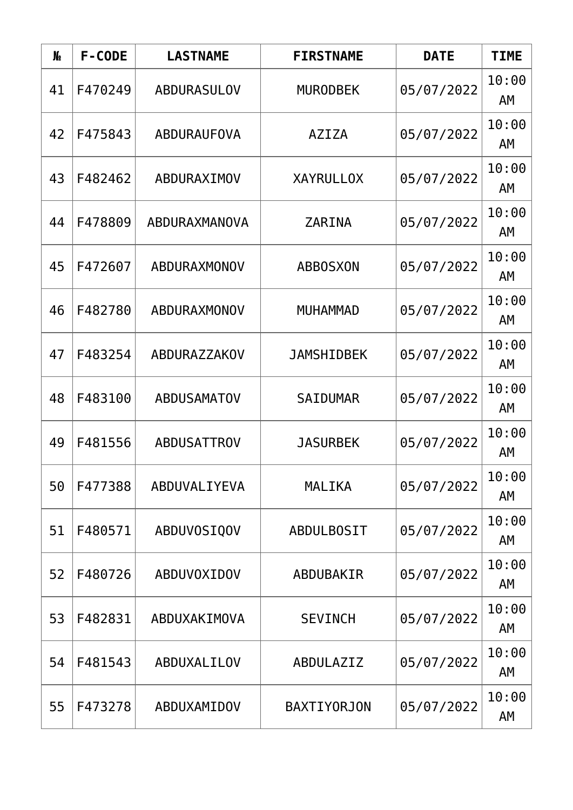| $\mathbf{M}_{2}$ | F-CODE  | <b>LASTNAME</b>    | <b>FIRSTNAME</b>   | <b>DATE</b> | <b>TIME</b> |
|------------------|---------|--------------------|--------------------|-------------|-------------|
| 41               | F470249 | <b>ABDURASULOV</b> | <b>MURODBEK</b>    | 05/07/2022  | 10:00<br>AM |
| 42               | F475843 | ABDURAUFOVA        | <b>AZIZA</b>       | 05/07/2022  | 10:00<br>AM |
| 43               | F482462 | ABDURAXIMOV        | <b>XAYRULLOX</b>   | 05/07/2022  | 10:00<br>AΜ |
| 44               | F478809 | ABDURAXMANOVA      | <b>ZARINA</b>      | 05/07/2022  | 10:00<br>AM |
| 45               | F472607 | ABDURAXMONOV       | <b>ABBOSXON</b>    | 05/07/2022  | 10:00<br>AM |
| 46               | F482780 | ABDURAXMONOV       | <b>MUHAMMAD</b>    | 05/07/2022  | 10:00<br>AM |
| 47               | F483254 | ABDURAZZAKOV       | <b>JAMSHIDBEK</b>  | 05/07/2022  | 10:00<br>AM |
| 48               | F483100 | <b>ABDUSAMATOV</b> | <b>SAIDUMAR</b>    | 05/07/2022  | 10:00<br>AM |
| 49               | F481556 | <b>ABDUSATTROV</b> | <b>JASURBEK</b>    | 05/07/2022  | 10:00<br>AΜ |
| 50               | F477388 | ABDUVALIYEVA       | <b>MALIKA</b>      | 05/07/2022  | 10:00<br>AM |
| 51               | F480571 | ABDUVOSIQOV        | <b>ABDULBOSIT</b>  | 05/07/2022  | 10:00<br>AΜ |
| 52               | F480726 | ABDUVOXIDOV        | ABDUBAKIR          | 05/07/2022  | 10:00<br>AΜ |
| 53               | F482831 | ABDUXAKIMOVA       | <b>SEVINCH</b>     | 05/07/2022  | 10:00<br>AM |
| 54               | F481543 | ABDUXALILOV        | ABDULAZIZ          | 05/07/2022  | 10:00<br>AM |
| 55               | F473278 | ABDUXAMIDOV        | <b>BAXTIYORJON</b> | 05/07/2022  | 10:00<br>AM |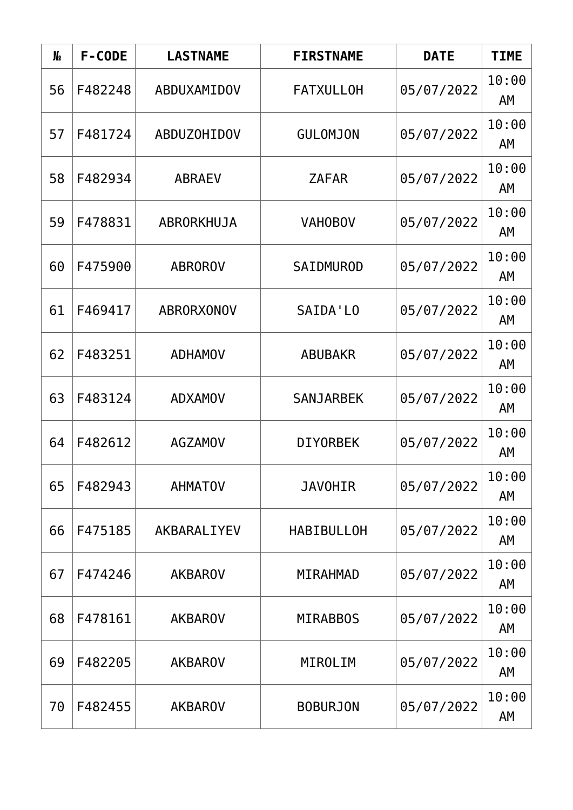| $\mathbf{M}_{2}$ | F-CODE  | <b>LASTNAME</b>    | <b>FIRSTNAME</b>  | <b>DATE</b> | <b>TIME</b> |
|------------------|---------|--------------------|-------------------|-------------|-------------|
| 56               | F482248 | ABDUXAMIDOV        | <b>FATXULLOH</b>  | 05/07/2022  | 10:00<br>AM |
| 57               | F481724 | <b>ABDUZOHIDOV</b> | <b>GULOMJON</b>   | 05/07/2022  | 10:00<br>AM |
| 58               | F482934 | <b>ABRAEV</b>      | <b>ZAFAR</b>      | 05/07/2022  | 10:00<br>AM |
| 59               | F478831 | ABRORKHUJA         | <b>VAHOBOV</b>    | 05/07/2022  | 10:00<br>AΜ |
| 60               | F475900 | <b>ABROROV</b>     | SAIDMUROD         | 05/07/2022  | 10:00<br>AM |
| 61               | F469417 | <b>ABRORXONOV</b>  | SAIDA'LO          | 05/07/2022  | 10:00<br>AM |
| 62               | F483251 | <b>ADHAMOV</b>     | <b>ABUBAKR</b>    | 05/07/2022  | 10:00<br>AM |
| 63               | F483124 | <b>ADXAMOV</b>     | <b>SANJARBEK</b>  | 05/07/2022  | 10:00<br>AM |
| 64               | F482612 | <b>AGZAMOV</b>     | <b>DIYORBEK</b>   | 05/07/2022  | 10:00<br>AΜ |
| 65               | F482943 | <b>AHMATOV</b>     | <b>JAVOHIR</b>    | 05/07/2022  | 10:00<br>AM |
| 66               | F475185 | AKBARALIYEV        | <b>HABIBULLOH</b> | 05/07/2022  | 10:00<br>AΜ |
| 67               | F474246 | <b>AKBAROV</b>     | MIRAHMAD          | 05/07/2022  | 10:00<br>AΜ |
| 68               | F478161 | <b>AKBAROV</b>     | <b>MIRABBOS</b>   | 05/07/2022  | 10:00<br>AM |
| 69               | F482205 | <b>AKBAROV</b>     | MIROLIM           | 05/07/2022  | 10:00<br>AM |
| 70               | F482455 | <b>AKBAROV</b>     | <b>BOBURJON</b>   | 05/07/2022  | 10:00<br>AM |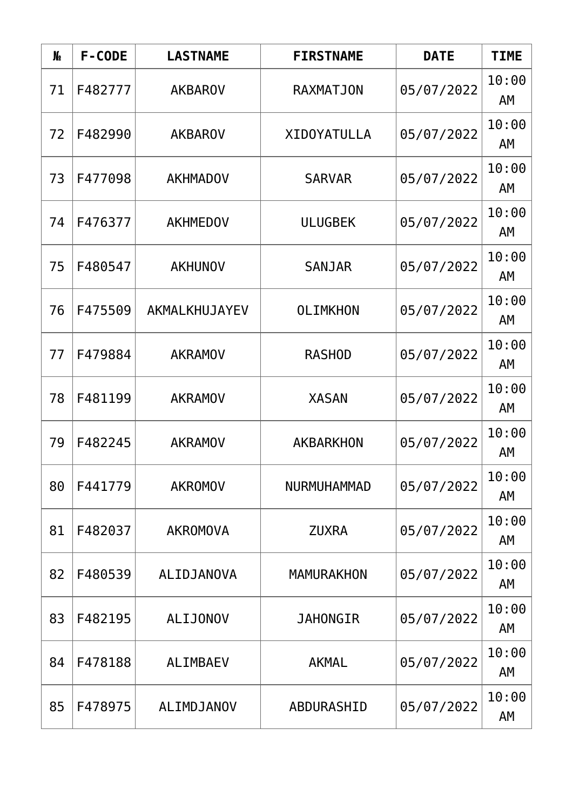| $\mathbf{M}_{2}$ | F-CODE  | <b>LASTNAME</b> | <b>FIRSTNAME</b>   | <b>DATE</b> | <b>TIME</b> |
|------------------|---------|-----------------|--------------------|-------------|-------------|
| 71               | F482777 | <b>AKBAROV</b>  | <b>RAXMATJON</b>   | 05/07/2022  | 10:00<br>AM |
| 72               | F482990 | <b>AKBAROV</b>  | <b>XIDOYATULLA</b> | 05/07/2022  | 10:00<br>AM |
| 73               | F477098 | <b>AKHMADOV</b> | <b>SARVAR</b>      | 05/07/2022  | 10:00<br>AM |
| 74               | F476377 | <b>AKHMEDOV</b> | <b>ULUGBEK</b>     | 05/07/2022  | 10:00<br>AΜ |
| 75               | F480547 | <b>AKHUNOV</b>  | <b>SANJAR</b>      | 05/07/2022  | 10:00<br>AM |
| 76               | F475509 | AKMALKHUJAYEV   | <b>OLIMKHON</b>    | 05/07/2022  | 10:00<br>AM |
| 77               | F479884 | <b>AKRAMOV</b>  | <b>RASHOD</b>      | 05/07/2022  | 10:00<br>AM |
| 78               | F481199 | <b>AKRAMOV</b>  | <b>XASAN</b>       | 05/07/2022  | 10:00<br>AM |
| 79               | F482245 | <b>AKRAMOV</b>  | <b>AKBARKHON</b>   | 05/07/2022  | 10:00<br>AΜ |
| 80               | F441779 | <b>AKROMOV</b>  | NURMUHAMMAD        | 05/07/2022  | 10:00<br>AM |
| 81               | F482037 | <b>AKROMOVA</b> | <b>ZUXRA</b>       | 05/07/2022  | 10:00<br>AΜ |
| 82               | F480539 | ALIDJANOVA      | <b>MAMURAKHON</b>  | 05/07/2022  | 10:00<br>AΜ |
| 83               | F482195 | <b>ALIJONOV</b> | <b>JAHONGIR</b>    | 05/07/2022  | 10:00<br>AM |
| 84               | F478188 | <b>ALIMBAEV</b> | <b>AKMAL</b>       | 05/07/2022  | 10:00<br>AΜ |
| 85               | F478975 | ALIMDJANOV      | ABDURASHID         | 05/07/2022  | 10:00<br>AM |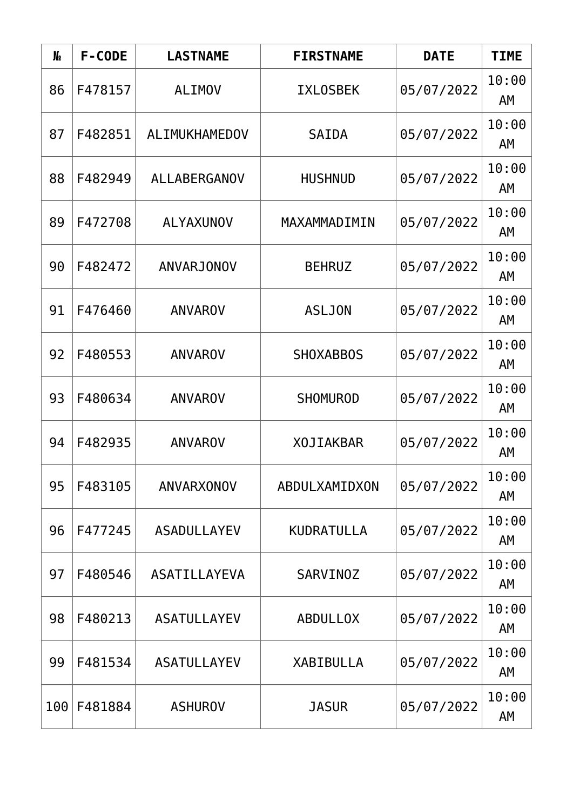| $\mathbf{M}_{2}$ | F-CODE  | <b>LASTNAME</b>     | <b>FIRSTNAME</b>  | <b>DATE</b> | <b>TIME</b> |
|------------------|---------|---------------------|-------------------|-------------|-------------|
| 86               | F478157 | <b>ALIMOV</b>       | <b>IXLOSBEK</b>   | 05/07/2022  | 10:00<br>AM |
| 87               | F482851 | ALIMUKHAMEDOV       | <b>SAIDA</b>      | 05/07/2022  | 10:00<br>AM |
| 88               | F482949 | <b>ALLABERGANOV</b> | <b>HUSHNUD</b>    | 05/07/2022  | 10:00<br>AM |
| 89               | F472708 | <b>ALYAXUNOV</b>    | MAXAMMADIMIN      | 05/07/2022  | 10:00<br>AΜ |
| 90               | F482472 | <b>ANVARJONOV</b>   | <b>BEHRUZ</b>     | 05/07/2022  | 10:00<br>AM |
| 91               | F476460 | <b>ANVAROV</b>      | <b>ASLJON</b>     | 05/07/2022  | 10:00<br>AM |
| 92               | F480553 | <b>ANVAROV</b>      | <b>SHOXABBOS</b>  | 05/07/2022  | 10:00<br>AM |
| 93               | F480634 | <b>ANVAROV</b>      | <b>SHOMUROD</b>   | 05/07/2022  | 10:00<br>AM |
| 94               | F482935 | <b>ANVAROV</b>      | <b>XOJIAKBAR</b>  | 05/07/2022  | 10:00<br>AΜ |
| 95               | F483105 | ANVARXONOV          | ABDULXAMIDXON     | 05/07/2022  | 10:00<br>AM |
| 96               | F477245 | <b>ASADULLAYEV</b>  | <b>KUDRATULLA</b> | 05/07/2022  | 10:00<br>AΜ |
| 97               | F480546 | ASATILLAYEVA        | <b>SARVINOZ</b>   | 05/07/2022  | 10:00<br>AΜ |
| 98               | F480213 | <b>ASATULLAYEV</b>  | <b>ABDULLOX</b>   | 05/07/2022  | 10:00<br>AM |
| 99               | F481534 | <b>ASATULLAYEV</b>  | <b>XABIBULLA</b>  | 05/07/2022  | 10:00<br>AΜ |
| 100              | F481884 | <b>ASHUROV</b>      | <b>JASUR</b>      | 05/07/2022  | 10:00<br>AM |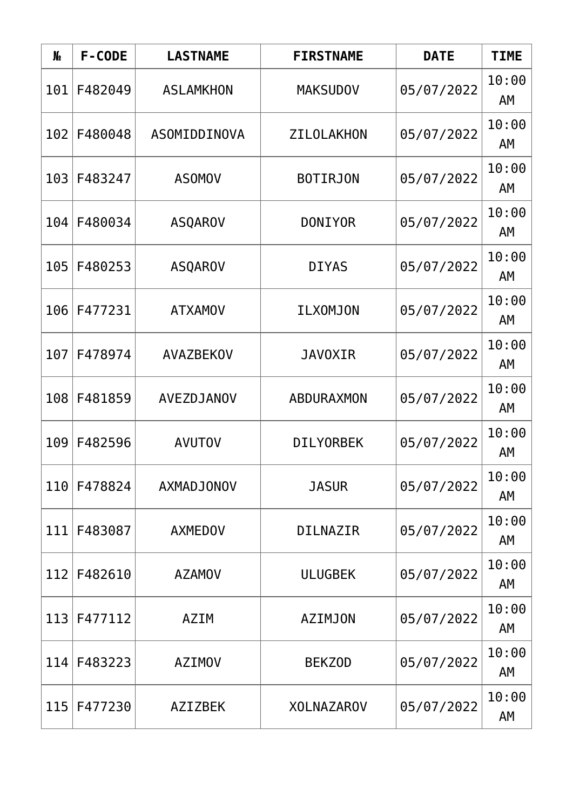| N <sub>o</sub> | F-CODE         | <b>LASTNAME</b>   | <b>FIRSTNAME</b>  | <b>DATE</b> | <b>TIME</b> |
|----------------|----------------|-------------------|-------------------|-------------|-------------|
| 101            | F482049        | <b>ASLAMKHON</b>  | <b>MAKSUDOV</b>   | 05/07/2022  | 10:00<br>AM |
| 102            | F480048        | ASOMIDDINOVA      | ZILOLAKHON        | 05/07/2022  | 10:00<br>AM |
| 103            | F483247        | <b>ASOMOV</b>     | <b>BOTIRJON</b>   | 05/07/2022  | 10:00<br>AM |
| F480034<br>104 | <b>ASQAROV</b> | <b>DONIYOR</b>    | 05/07/2022        | 10:00<br>AM |             |
| 105            | F480253        | <b>ASQAROV</b>    | <b>DIYAS</b>      | 05/07/2022  | 10:00<br>AM |
| 106            | F477231        | <b>ATXAMOV</b>    | <b>ILXOMJON</b>   | 05/07/2022  | 10:00<br>AM |
| 107            | F478974        | <b>AVAZBEKOV</b>  | <b>JAVOXIR</b>    | 05/07/2022  | 10:00<br>AM |
| 108            | F481859        | <b>AVEZDJANOV</b> | <b>ABDURAXMON</b> | 05/07/2022  | 10:00<br>AM |
| 109            | F482596        | <b>AVUTOV</b>     | <b>DILYORBEK</b>  | 05/07/2022  | 10:00<br>AΜ |
| 110            | F478824        | <b>AXMADJONOV</b> | <b>JASUR</b>      | 05/07/2022  | 10:00<br>AM |
| 111            | F483087        | <b>AXMEDOV</b>    | <b>DILNAZIR</b>   | 05/07/2022  | 10:00<br>AΜ |
| 112            | F482610        | <b>AZAMOV</b>     | <b>ULUGBEK</b>    | 05/07/2022  | 10:00<br>AΜ |
| 113            | F477112        | <b>AZIM</b>       | <b>AZIMJON</b>    | 05/07/2022  | 10:00<br>AM |
| 114            | F483223        | <b>AZIMOV</b>     | <b>BEKZOD</b>     | 05/07/2022  | 10:00<br>AM |
| 115            | F477230        | <b>AZIZBEK</b>    | <b>XOLNAZAROV</b> | 05/07/2022  | 10:00<br>AM |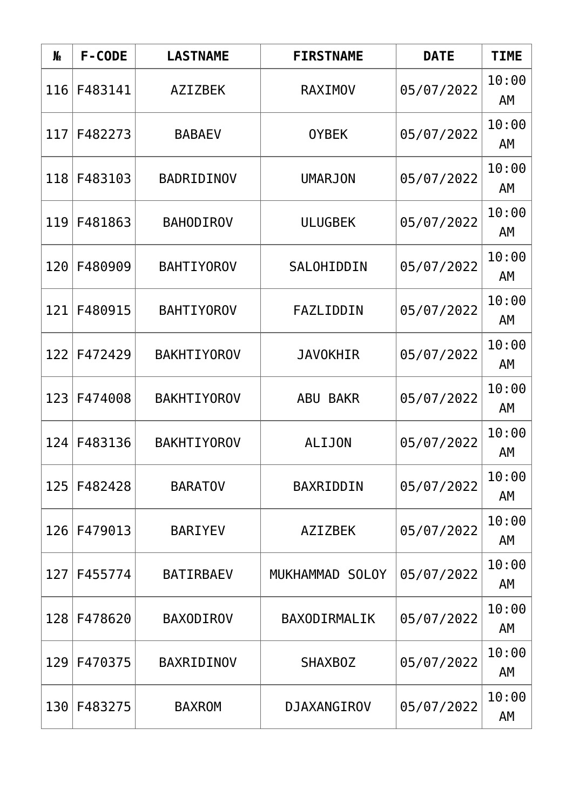| N <sub>o</sub>   | F-CODE  | <b>LASTNAME</b>    | <b>FIRSTNAME</b>   | <b>DATE</b> | <b>TIME</b> |
|------------------|---------|--------------------|--------------------|-------------|-------------|
| 116              | F483141 | <b>AZIZBEK</b>     | <b>RAXIMOV</b>     | 05/07/2022  | 10:00<br>AM |
| 117 <sup>1</sup> | F482273 | <b>BABAEV</b>      | <b>OYBEK</b>       | 05/07/2022  | 10:00<br>AM |
| 118              | F483103 | <b>BADRIDINOV</b>  | <b>UMARJON</b>     | 05/07/2022  | 10:00<br>AΜ |
| 119              | F481863 | <b>BAHODIROV</b>   | <b>ULUGBEK</b>     | 05/07/2022  | 10:00<br>AΜ |
| 120              | F480909 | <b>BAHTIYOROV</b>  | SALOHIDDIN         | 05/07/2022  | 10:00<br>AM |
| 121              | F480915 | <b>BAHTIYOROV</b>  | FAZLIDDIN          | 05/07/2022  | 10:00<br>AM |
| 122              | F472429 | <b>BAKHTIYOROV</b> | <b>JAVOKHIR</b>    | 05/07/2022  | 10:00<br>AM |
| 123              | F474008 | <b>BAKHTIYOROV</b> | <b>ABU BAKR</b>    | 05/07/2022  | 10:00<br>AM |
| 124              | F483136 | <b>BAKHTIYOROV</b> | ALIJON             | 05/07/2022  | 10:00<br>AΜ |
| 125              | F482428 | <b>BARATOV</b>     | BAXRIDDIN          | 05/07/2022  | 10:00<br>AM |
| 126              | F479013 | <b>BARIYEV</b>     | <b>AZIZBEK</b>     | 05/07/2022  | 10:00<br>AΜ |
| 127              | F455774 | <b>BATIRBAEV</b>   | MUKHAMMAD SOLOY    | 05/07/2022  | 10:00<br>AΜ |
| 128              | F478620 | <b>BAXODIROV</b>   | BAXODIRMALIK       | 05/07/2022  | 10:00<br>AM |
| 129              | F470375 | BAXRIDINOV         | <b>SHAXBOZ</b>     | 05/07/2022  | 10:00<br>AM |
| 130              | F483275 | <b>BAXROM</b>      | <b>DJAXANGIROV</b> | 05/07/2022  | 10:00<br>AM |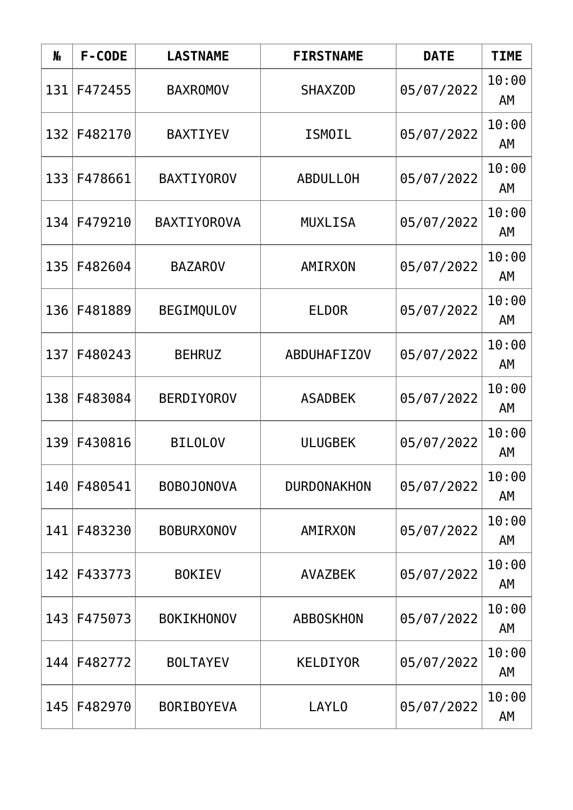| N <sub>o</sub> | F-CODE  | <b>LASTNAME</b>    | <b>FIRSTNAME</b>   | <b>DATE</b> | <b>TIME</b> |
|----------------|---------|--------------------|--------------------|-------------|-------------|
| 131            | F472455 | <b>BAXROMOV</b>    | SHAXZ0D            | 05/07/2022  | 10:00<br>AM |
| 132            | F482170 | <b>BAXTIYEV</b>    | <b>ISMOIL</b>      | 05/07/2022  | 10:00<br>AM |
| 133            | F478661 | <b>BAXTIYOROV</b>  | <b>ABDULLOH</b>    | 05/07/2022  | 10:00<br>AM |
| 134            | F479210 | <b>BAXTIYOROVA</b> | <b>MUXLISA</b>     | 05/07/2022  | 10:00<br>AM |
| 135            | F482604 | <b>BAZAROV</b>     | AMIRXON            | 05/07/2022  | 10:00<br>AM |
| 136            | F481889 | <b>BEGIMQULOV</b>  | <b>ELDOR</b>       | 05/07/2022  | 10:00<br>AM |
| 137            | F480243 | <b>BEHRUZ</b>      | <b>ABDUHAFIZOV</b> | 05/07/2022  | 10:00<br>AM |
| 138            | F483084 | <b>BERDIYOROV</b>  | <b>ASADBEK</b>     | 05/07/2022  | 10:00<br>AM |
| 139            | F430816 | <b>BILOLOV</b>     | <b>ULUGBEK</b>     | 05/07/2022  | 10:00<br>AΜ |
| 140            | F480541 | <b>BOBOJONOVA</b>  | <b>DURDONAKHON</b> | 05/07/2022  | 10:00<br>AM |
| 141            | F483230 | <b>BOBURXONOV</b>  | AMIRXON            | 05/07/2022  | 10:00<br>AΜ |
| 142            | F433773 | <b>BOKIEV</b>      | <b>AVAZBEK</b>     | 05/07/2022  | 10:00<br>AΜ |
| 143            | F475073 | <b>BOKIKHONOV</b>  | <b>ABBOSKHON</b>   | 05/07/2022  | 10:00<br>AM |
| 144            | F482772 | <b>BOLTAYEV</b>    | <b>KELDIYOR</b>    | 05/07/2022  | 10:00<br>AM |
| 145            | F482970 | <b>BORIBOYEVA</b>  | <b>LAYLO</b>       | 05/07/2022  | 10:00<br>AM |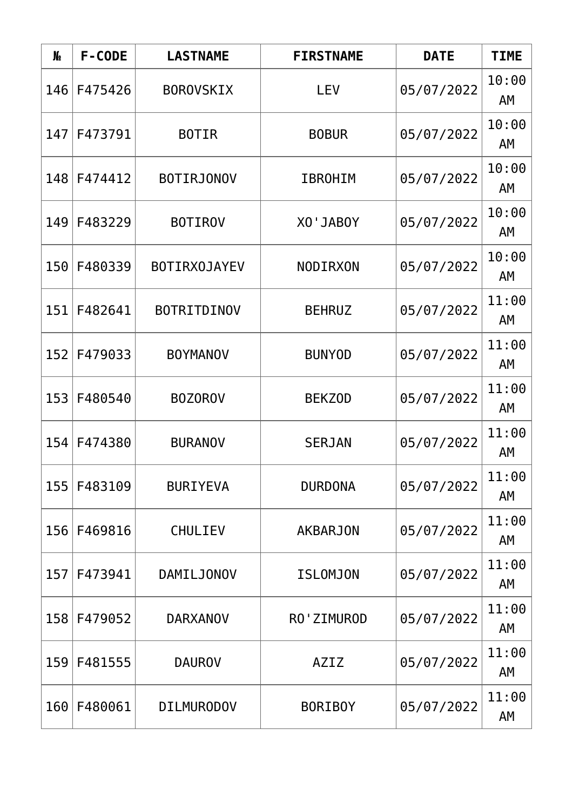| N <sub>o</sub> | F-CODE  | <b>LASTNAME</b>     | <b>FIRSTNAME</b> | <b>DATE</b> | <b>TIME</b> |
|----------------|---------|---------------------|------------------|-------------|-------------|
| 146            | F475426 | <b>BOROVSKIX</b>    | <b>LEV</b>       | 05/07/2022  | 10:00<br>AM |
| 147            | F473791 | <b>BOTIR</b>        | <b>BOBUR</b>     | 05/07/2022  | 10:00<br>AM |
| 148            | F474412 | <b>BOTIRJONOV</b>   | <b>IBROHIM</b>   | 05/07/2022  | 10:00<br>AM |
| 149            | F483229 | <b>BOTIROV</b>      | <b>XO'JABOY</b>  | 05/07/2022  | 10:00<br>AΜ |
| 150            | F480339 | <b>BOTIRXOJAYEV</b> | <b>NODIRXON</b>  | 05/07/2022  | 10:00<br>AM |
| 151            | F482641 | <b>BOTRITDINOV</b>  | <b>BEHRUZ</b>    | 05/07/2022  | 11:00<br>AM |
| 152            | F479033 | <b>BOYMANOV</b>     | <b>BUNYOD</b>    | 05/07/2022  | 11:00<br>AM |
| 153            | F480540 | <b>BOZOROV</b>      | <b>BEKZOD</b>    | 05/07/2022  | 11:00<br>AM |
| 154            | F474380 | <b>BURANOV</b>      | <b>SERJAN</b>    | 05/07/2022  | 11:00<br>AΜ |
| 155            | F483109 | <b>BURIYEVA</b>     | <b>DURDONA</b>   | 05/07/2022  | 11:00<br>AM |
| 156            | F469816 | CHULIEV             | <b>AKBARJON</b>  | 05/07/2022  | 11:00<br>AΜ |
| 157            | F473941 | <b>DAMILJONOV</b>   | <b>ISLOMJON</b>  | 05/07/2022  | 11:00<br>AΜ |
| 158            | F479052 | <b>DARXANOV</b>     | RO'ZIMUROD       | 05/07/2022  | 11:00<br>AM |
| 159            | F481555 | <b>DAUROV</b>       | AZIZ             | 05/07/2022  | 11:00<br>AM |
| 160            | F480061 | <b>DILMURODOV</b>   | <b>BORIBOY</b>   | 05/07/2022  | 11:00<br>AM |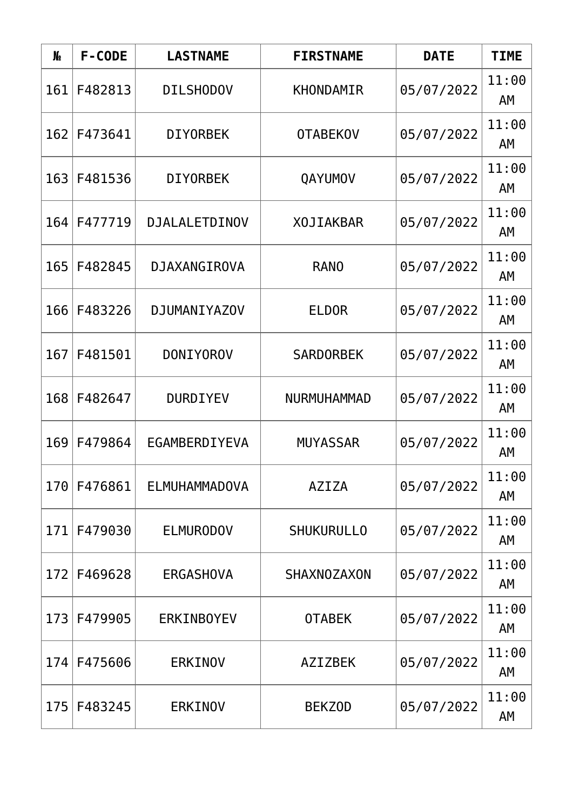| N <sub>o</sub> | F-CODE  | <b>LASTNAME</b>      | <b>FIRSTNAME</b>   | <b>DATE</b> | <b>TIME</b> |
|----------------|---------|----------------------|--------------------|-------------|-------------|
| 161            | F482813 | <b>DILSHODOV</b>     | KHONDAMIR          | 05/07/2022  | 11:00<br>AM |
| 162            | F473641 | <b>DIYORBEK</b>      | <b>OTABEKOV</b>    | 05/07/2022  | 11:00<br>AM |
| 163            | F481536 | <b>DIYORBEK</b>      | QAYUMOV            | 05/07/2022  | 11:00<br>AΜ |
| 164            | F477719 | <b>DJALALETDINOV</b> | <b>XOJIAKBAR</b>   | 05/07/2022  | 11:00<br>AM |
| 165            | F482845 | DJAXANGIROVA         | <b>RANO</b>        | 05/07/2022  | 11:00<br>AM |
| 166            | F483226 | <b>DJUMANIYAZOV</b>  | <b>ELDOR</b>       | 05/07/2022  | 11:00<br>AM |
| 167            | F481501 | <b>DONIYOROV</b>     | <b>SARDORBEK</b>   | 05/07/2022  | 11:00<br>AM |
| 168            | F482647 | <b>DURDIYEV</b>      | <b>NURMUHAMMAD</b> | 05/07/2022  | 11:00<br>AM |
| 169            | F479864 | EGAMBERDIYEVA        | <b>MUYASSAR</b>    | 05/07/2022  | 11:00<br>AΜ |
| 170            | F476861 | ELMUHAMMADOVA        | <b>AZIZA</b>       | 05/07/2022  | 11:00<br>AM |
| 171            | F479030 | <b>ELMURODOV</b>     | <b>SHUKURULLO</b>  | 05/07/2022  | 11:00<br>AΜ |
| 172            | F469628 | <b>ERGASHOVA</b>     | <b>SHAXNOZAXON</b> | 05/07/2022  | 11:00<br>AΜ |
| 173            | F479905 | <b>ERKINBOYEV</b>    | <b>OTABEK</b>      | 05/07/2022  | 11:00<br>AM |
| 174            | F475606 | <b>ERKINOV</b>       | <b>AZIZBEK</b>     | 05/07/2022  | 11:00<br>AM |
| 175            | F483245 | <b>ERKINOV</b>       | <b>BEKZOD</b>      | 05/07/2022  | 11:00<br>AM |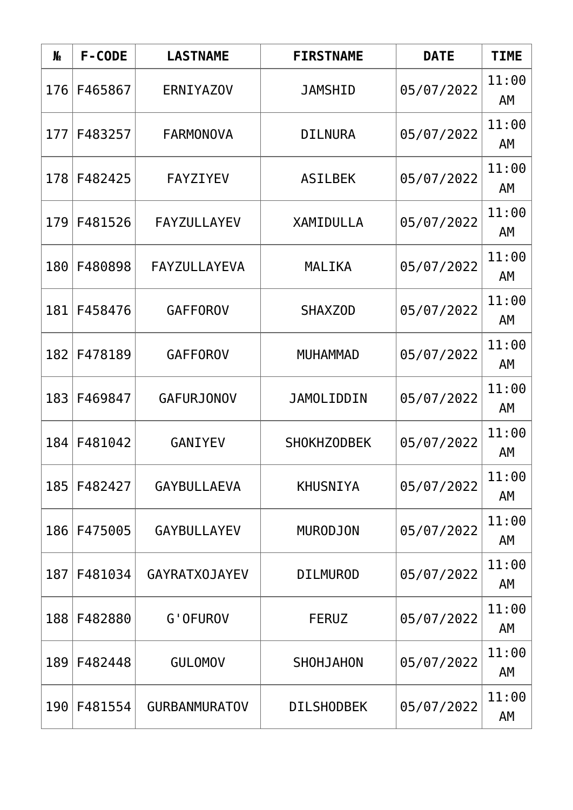| N <sub>o</sub> | F-CODE  | <b>LASTNAME</b>      | <b>FIRSTNAME</b>   | <b>DATE</b> | <b>TIME</b> |
|----------------|---------|----------------------|--------------------|-------------|-------------|
| 176            | F465867 | <b>ERNIYAZOV</b>     | <b>JAMSHID</b>     | 05/07/2022  | 11:00<br>AM |
| 177            | F483257 | <b>FARMONOVA</b>     | <b>DILNURA</b>     | 05/07/2022  | 11:00<br>AM |
| 178            | F482425 | <b>FAYZIYEV</b>      | <b>ASILBEK</b>     | 05/07/2022  | 11:00<br>AΜ |
| 179            | F481526 | <b>FAYZULLAYEV</b>   | XAMIDULLA          | 05/07/2022  | 11:00<br>AM |
| 180            | F480898 | FAYZULLAYEVA         | MALIKA             | 05/07/2022  | 11:00<br>AM |
| 181            | F458476 | <b>GAFFOROV</b>      | <b>SHAXZOD</b>     | 05/07/2022  | 11:00<br>AM |
| 182            | F478189 | <b>GAFFOROV</b>      | <b>MUHAMMAD</b>    | 05/07/2022  | 11:00<br>AM |
| 183            | F469847 | <b>GAFURJONOV</b>    | <b>JAMOLIDDIN</b>  | 05/07/2022  | 11:00<br>AM |
| 184            | F481042 | <b>GANIYEV</b>       | <b>SHOKHZODBEK</b> | 05/07/2022  | 11:00<br>AM |
| 185            | F482427 | GAYBULLAEVA          | <b>KHUSNIYA</b>    | 05/07/2022  | 11:00<br>AM |
| 186            | F475005 | <b>GAYBULLAYEV</b>   | <b>MURODJON</b>    | 05/07/2022  | 11:00<br>AΜ |
| 187            | F481034 | <b>GAYRATXOJAYEV</b> | <b>DILMUROD</b>    | 05/07/2022  | 11:00<br>AΜ |
| 188            | F482880 | G'OFUROV             | <b>FERUZ</b>       | 05/07/2022  | 11:00<br>AM |
| 189            | F482448 | <b>GULOMOV</b>       | SHOHJAHON          | 05/07/2022  | 11:00<br>AM |
| 190            | F481554 | <b>GURBANMURATOV</b> | <b>DILSHODBEK</b>  | 05/07/2022  | 11:00<br>AM |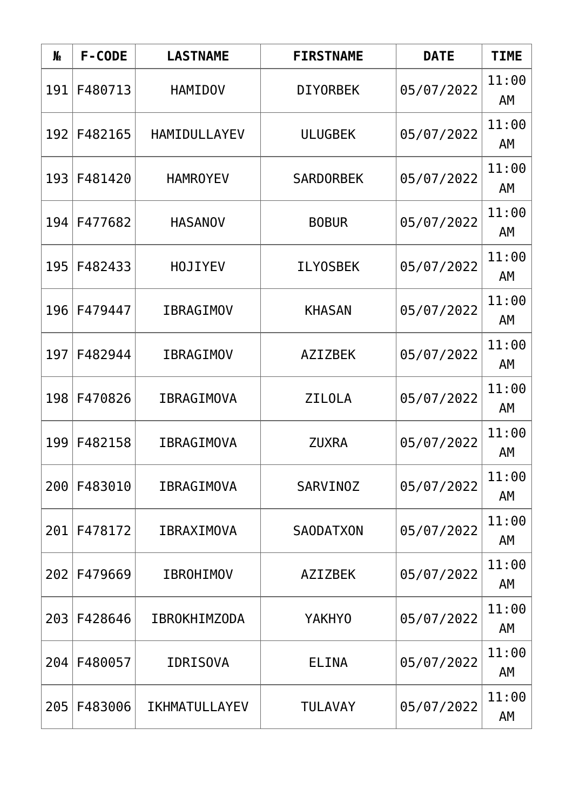| N <sub>o</sub> | F-CODE  | <b>LASTNAME</b>     | <b>FIRSTNAME</b> | <b>DATE</b> | <b>TIME</b> |
|----------------|---------|---------------------|------------------|-------------|-------------|
| 191            | F480713 | <b>HAMIDOV</b>      | <b>DIYORBEK</b>  | 05/07/2022  | 11:00<br>AM |
| 192            | F482165 | HAMIDULLAYEV        | <b>ULUGBEK</b>   | 05/07/2022  | 11:00<br>AM |
| 193            | F481420 | <b>HAMROYEV</b>     | <b>SARDORBEK</b> | 05/07/2022  | 11:00<br>AΜ |
| 194            | F477682 | <b>HASANOV</b>      | <b>BOBUR</b>     | 05/07/2022  | 11:00<br>AM |
| 195            | F482433 | <b>HOJIYEV</b>      | <b>ILYOSBEK</b>  | 05/07/2022  | 11:00<br>AM |
| 196            | F479447 | <b>IBRAGIMOV</b>    | <b>KHASAN</b>    | 05/07/2022  | 11:00<br>AM |
| 197            | F482944 | <b>IBRAGIMOV</b>    | <b>AZIZBEK</b>   | 05/07/2022  | 11:00<br>AM |
| 198            | F470826 | <b>IBRAGIMOVA</b>   | <b>ZILOLA</b>    | 05/07/2022  | 11:00<br>AM |
| 199            | F482158 | <b>IBRAGIMOVA</b>   | <b>ZUXRA</b>     | 05/07/2022  | 11:00<br>AΜ |
| 200            | F483010 | <b>IBRAGIMOVA</b>   | <b>SARVINOZ</b>  | 05/07/2022  | 11:00<br>AM |
| 201            | F478172 | <b>IBRAXIMOVA</b>   | <b>SAODATXON</b> | 05/07/2022  | 11:00<br>AΜ |
| 202            | F479669 | <b>IBROHIMOV</b>    | <b>AZIZBEK</b>   | 05/07/2022  | 11:00<br>AΜ |
| 203            | F428646 | <b>IBROKHIMZODA</b> | <b>YAKHYO</b>    | 05/07/2022  | 11:00<br>AM |
| 204            | F480057 | <b>IDRISOVA</b>     | <b>ELINA</b>     | 05/07/2022  | 11:00<br>AM |
| 205            | F483006 | IKHMATULLAYEV       | <b>TULAVAY</b>   | 05/07/2022  | 11:00<br>AM |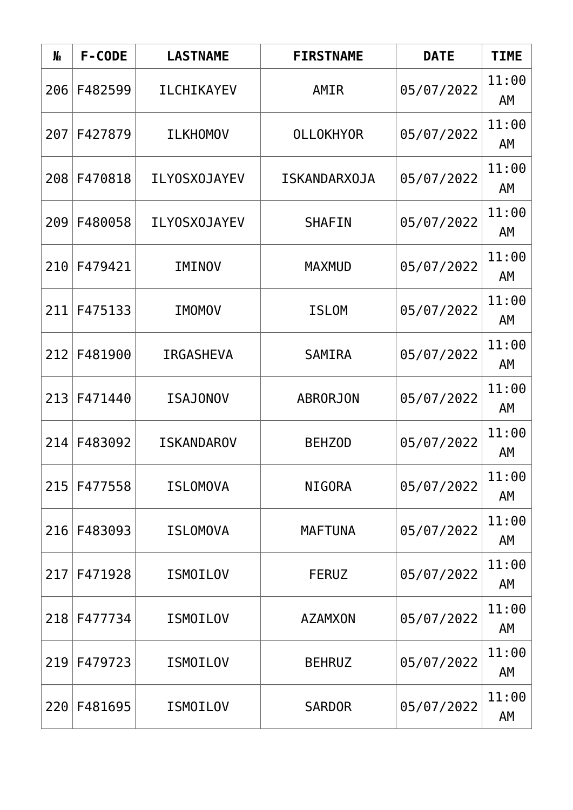| N <sub>o</sub> | F-CODE  | <b>LASTNAME</b>     | <b>FIRSTNAME</b>    | <b>DATE</b> | <b>TIME</b> |
|----------------|---------|---------------------|---------------------|-------------|-------------|
| 206            | F482599 | <b>ILCHIKAYEV</b>   | AMIR                | 05/07/2022  | 11:00<br>AM |
| 207            | F427879 | <b>ILKHOMOV</b>     | <b>OLLOKHYOR</b>    | 05/07/2022  | 11:00<br>AM |
| 208            | F470818 | <b>ILYOSXOJAYEV</b> | <b>ISKANDARXOJA</b> | 05/07/2022  | 11:00<br>AΜ |
| 209            | F480058 | <b>ILY0SX0JAYEV</b> | <b>SHAFIN</b>       | 05/07/2022  | 11:00<br>AΜ |
| 210            | F479421 | IMINOV              | <b>MAXMUD</b>       | 05/07/2022  | 11:00<br>AM |
| 211            | F475133 | <b>IMOMOV</b>       | <b>ISLOM</b>        | 05/07/2022  | 11:00<br>AM |
| 212            | F481900 | <b>IRGASHEVA</b>    | <b>SAMIRA</b>       | 05/07/2022  | 11:00<br>AM |
| 213            | F471440 | <b>ISAJONOV</b>     | <b>ABRORJON</b>     | 05/07/2022  | 11:00<br>AM |
| 214            | F483092 | <b>ISKANDAROV</b>   | <b>BEHZOD</b>       | 05/07/2022  | 11:00<br>AΜ |
| 215            | F477558 | <b>ISLOMOVA</b>     | <b>NIGORA</b>       | 05/07/2022  | 11:00<br>AM |
| 216            | F483093 | <b>ISLOMOVA</b>     | <b>MAFTUNA</b>      | 05/07/2022  | 11:00<br>AΜ |
| 217            | F471928 | <b>ISMOILOV</b>     | <b>FERUZ</b>        | 05/07/2022  | 11:00<br>AM |
| 218            | F477734 | <b>ISMOILOV</b>     | <b>AZAMXON</b>      | 05/07/2022  | 11:00<br>AM |
| 219            | F479723 | <b>ISMOILOV</b>     | <b>BEHRUZ</b>       | 05/07/2022  | 11:00<br>AM |
| 220            | F481695 | <b>ISMOILOV</b>     | <b>SARDOR</b>       | 05/07/2022  | 11:00<br>AM |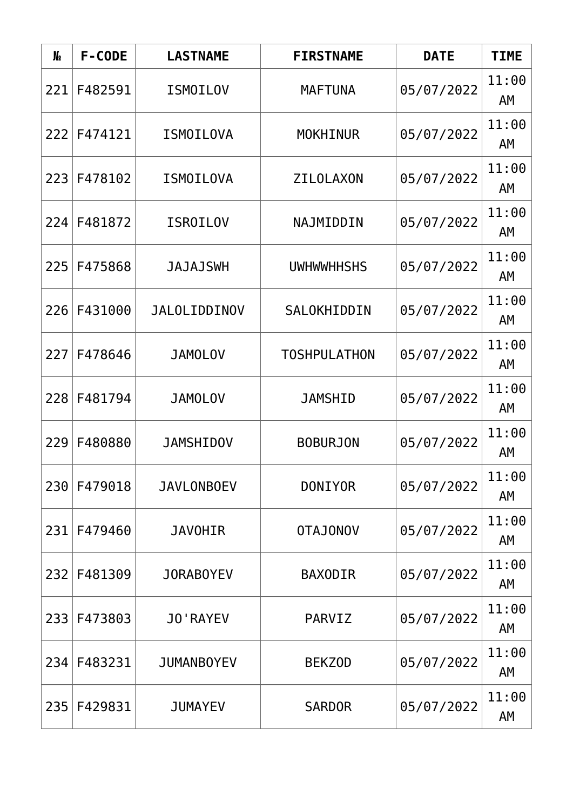| N <sub>o</sub> | F-CODE  | <b>LASTNAME</b>     | <b>FIRSTNAME</b>    | <b>DATE</b> | <b>TIME</b> |
|----------------|---------|---------------------|---------------------|-------------|-------------|
| 221            | F482591 | <b>ISMOILOV</b>     | <b>MAFTUNA</b>      | 05/07/2022  | 11:00<br>AM |
| 222            | F474121 | <b>ISMOILOVA</b>    | <b>MOKHINUR</b>     | 05/07/2022  | 11:00<br>AM |
| 2231           | F478102 | <b>ISMOILOVA</b>    | <b>ZILOLAXON</b>    | 05/07/2022  | 11:00<br>AΜ |
| 224            | F481872 | <b>ISROILOV</b>     | NAJMIDDIN           | 05/07/2022  | 11:00<br>AM |
| 225            | F475868 | <b>JAJAJSWH</b>     | <b>UWHWWHHSHS</b>   | 05/07/2022  | 11:00<br>AM |
| 226            | F431000 | <b>JALOLIDDINOV</b> | SALOKHIDDIN         | 05/07/2022  | 11:00<br>AM |
| 227            | F478646 | <b>JAMOLOV</b>      | <b>TOSHPULATHON</b> | 05/07/2022  | 11:00<br>AM |
| 228            | F481794 | <b>JAMOLOV</b>      | <b>JAMSHID</b>      | 05/07/2022  | 11:00<br>AM |
| 229            | F480880 | <b>JAMSHIDOV</b>    | <b>BOBURJON</b>     | 05/07/2022  | 11:00<br>AM |
| 230            | F479018 | <b>JAVLONBOEV</b>   | <b>DONIYOR</b>      | 05/07/2022  | 11:00<br>AM |
| 231            | F479460 | <b>JAVOHIR</b>      | <b>VONOUATO</b>     | 05/07/2022  | 11:00<br>AΜ |
| 232            | F481309 | JORABOYEV           | <b>BAXODIR</b>      | 05/07/2022  | 11:00<br>AΜ |
| 233            | F473803 | <b>JO'RAYEV</b>     | PARVIZ              | 05/07/2022  | 11:00<br>AM |
| 234            | F483231 | <b>JUMANBOYEV</b>   | <b>BEKZOD</b>       | 05/07/2022  | 11:00<br>AM |
| 235            | F429831 | <b>JUMAYEV</b>      | <b>SARDOR</b>       | 05/07/2022  | 11:00<br>AM |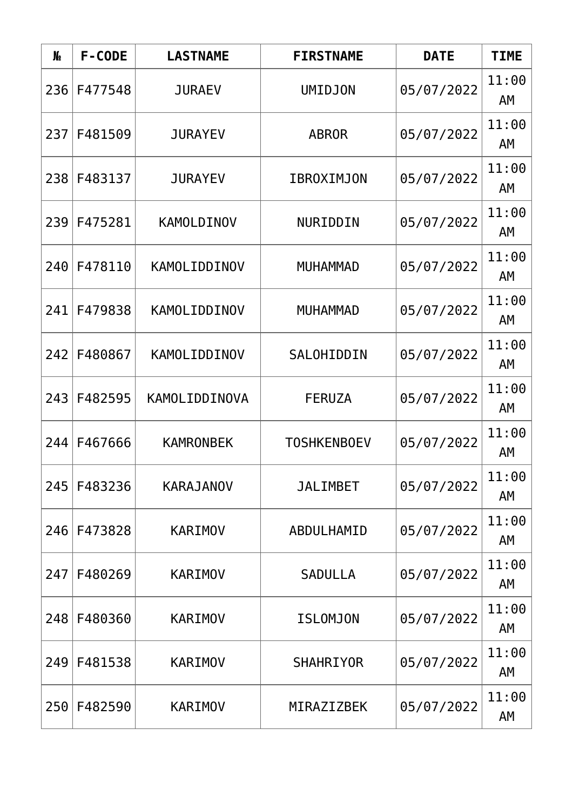| N <sub>o</sub> | F-CODE  | <b>LASTNAME</b>     | <b>FIRSTNAME</b>   | <b>DATE</b> | <b>TIME</b> |
|----------------|---------|---------------------|--------------------|-------------|-------------|
| 236            | F477548 | <b>JURAEV</b>       | <b>UMIDJON</b>     | 05/07/2022  | 11:00<br>AM |
| 237            | F481509 | <b>JURAYEV</b>      | <b>ABROR</b>       | 05/07/2022  | 11:00<br>AM |
| 238            | F483137 | <b>JURAYEV</b>      | <b>IBROXIMJON</b>  | 05/07/2022  | 11:00<br>AΜ |
| 239            | F475281 | KAMOLDINOV          | NURIDDIN           | 05/07/2022  | 11:00<br>AM |
| 240            | F478110 | KAMOLIDDINOV        | <b>MUHAMMAD</b>    | 05/07/2022  | 11:00<br>AM |
| 241            | F479838 | <b>KAMOLIDDINOV</b> | <b>MUHAMMAD</b>    | 05/07/2022  | 11:00<br>AM |
| 242            | F480867 | KAMOLIDDINOV        | SALOHIDDIN         | 05/07/2022  | 11:00<br>AM |
| 243            | F482595 | KAMOLIDDINOVA       | <b>FERUZA</b>      | 05/07/2022  | 11:00<br>AM |
| 244            | F467666 | <b>KAMRONBEK</b>    | <b>TOSHKENBOEV</b> | 05/07/2022  | 11:00<br>AM |
| 245            | F483236 | <b>KARAJANOV</b>    | <b>JALIMBET</b>    | 05/07/2022  | 11:00<br>AM |
| 246            | F473828 | <b>KARIMOV</b>      | ABDULHAMID         | 05/07/2022  | 11:00<br>AΜ |
| 247            | F480269 | <b>KARIMOV</b>      | <b>SADULLA</b>     | 05/07/2022  | 11:00<br>AΜ |
| 248            | F480360 | <b>KARIMOV</b>      | <b>ISLOMJON</b>    | 05/07/2022  | 11:00<br>AM |
| 249            | F481538 | <b>KARIMOV</b>      | <b>SHAHRIYOR</b>   | 05/07/2022  | 11:00<br>AM |
| 250            | F482590 | <b>KARIMOV</b>      | MIRAZIZBEK         | 05/07/2022  | 11:00<br>AM |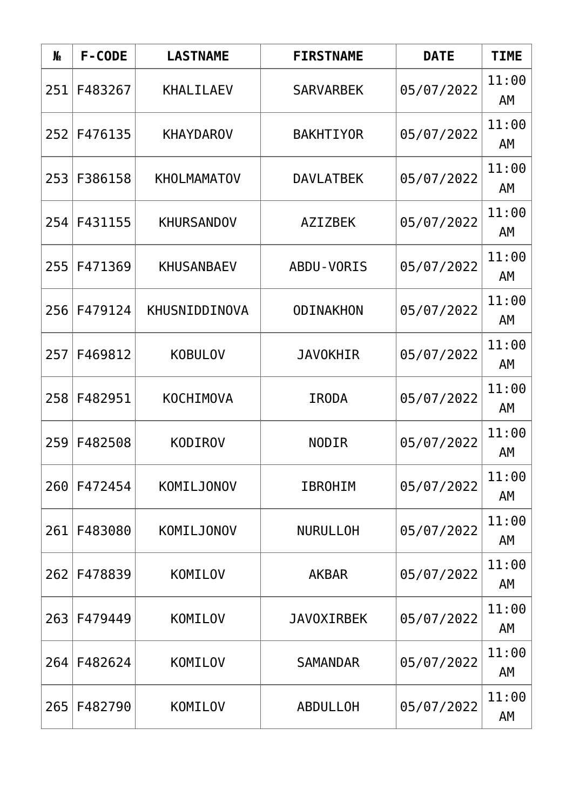| N <sub>o</sub> | F-CODE  | <b>LASTNAME</b>    | <b>FIRSTNAME</b>  | <b>DATE</b> | <b>TIME</b> |
|----------------|---------|--------------------|-------------------|-------------|-------------|
| 251            | F483267 | <b>KHALILAEV</b>   | <b>SARVARBEK</b>  | 05/07/2022  | 11:00<br>AM |
| 252            | F476135 | <b>KHAYDAROV</b>   | <b>BAKHTIYOR</b>  | 05/07/2022  | 11:00<br>AM |
| 253            | F386158 | <b>KHOLMAMATOV</b> | <b>DAVLATBEK</b>  | 05/07/2022  | 11:00<br>AΜ |
| 254            | F431155 | <b>KHURSANDOV</b>  | <b>AZIZBEK</b>    | 05/07/2022  | 11:00<br>AΜ |
| 255            | F471369 | <b>KHUSANBAEV</b>  | ABDU-VORIS        | 05/07/2022  | 11:00<br>AM |
| 256            | F479124 | KHUSNIDDINOVA      | <b>ODINAKHON</b>  | 05/07/2022  | 11:00<br>AM |
| 257            | F469812 | <b>KOBULOV</b>     | <b>JAVOKHIR</b>   | 05/07/2022  | 11:00<br>AM |
| 258            | F482951 | <b>KOCHIMOVA</b>   | <b>IRODA</b>      | 05/07/2022  | 11:00<br>AM |
| 259            | F482508 | <b>KODIROV</b>     | <b>NODIR</b>      | 05/07/2022  | 11:00<br>AΜ |
| 260            | F472454 | KOMILJONOV         | <b>IBROHIM</b>    | 05/07/2022  | 11:00<br>AM |
| 261            | F483080 | <b>KOMILJONOV</b>  | <b>NURULLOH</b>   | 05/07/2022  | 11:00<br>AΜ |
| 262            | F478839 | KOMILOV            | <b>AKBAR</b>      | 05/07/2022  | 11:00<br>AΜ |
| 263            | F479449 | KOMILOV            | <b>JAVOXIRBEK</b> | 05/07/2022  | 11:00<br>AM |
| 264            | F482624 | KOMILOV            | <b>SAMANDAR</b>   | 05/07/2022  | 11:00<br>AM |
| 265            | F482790 | KOMILOV            | <b>ABDULLOH</b>   | 05/07/2022  | 11:00<br>AM |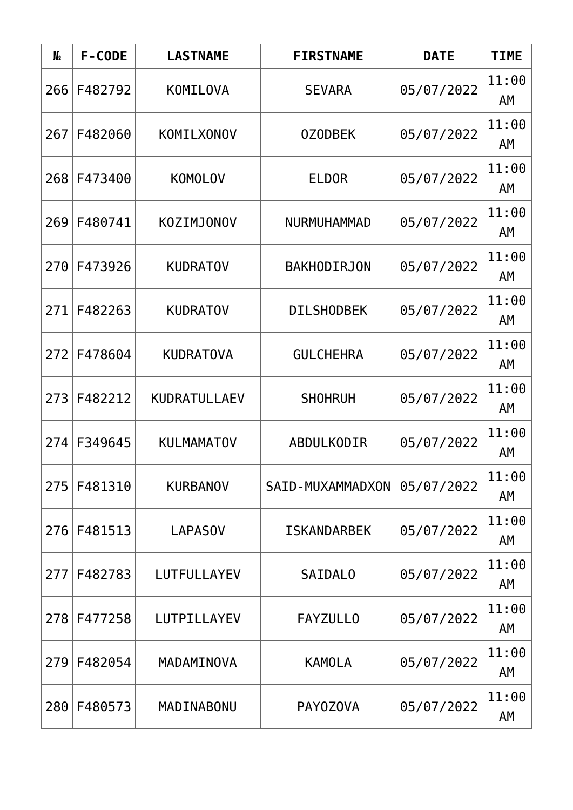| N <sub>o</sub> | F-CODE      | <b>LASTNAME</b>   | <b>FIRSTNAME</b>        | <b>DATE</b> | <b>TIME</b> |
|----------------|-------------|-------------------|-------------------------|-------------|-------------|
| 266            | F482792     | KOMILOVA          | <b>SEVARA</b>           | 05/07/2022  | 11:00<br>AM |
| 267            | F482060     | KOMILXONOV        | <b>OZODBEK</b>          | 05/07/2022  | 11:00<br>AM |
| 268            | F473400     | <b>KOMOLOV</b>    | <b>ELDOR</b>            | 05/07/2022  | 11:00<br>AΜ |
| 269            | F480741     | <b>KOZIMJONOV</b> | <b>NURMUHAMMAD</b>      | 05/07/2022  | 11:00<br>AM |
| 270            | F473926     | <b>KUDRATOV</b>   | <b>BAKHODIRJON</b>      | 05/07/2022  | 11:00<br>AM |
| 271            | F482263     | <b>KUDRATOV</b>   | <b>DILSHODBEK</b>       | 05/07/2022  | 11:00<br>AM |
| 272            | F478604     | <b>KUDRATOVA</b>  | <b>GULCHEHRA</b>        | 05/07/2022  | 11:00<br>AM |
| 2731           | F482212     | KUDRATULLAEV      | <b>SHOHRUH</b>          | 05/07/2022  | 11:00<br>AM |
| 274            | F349645     | <b>KULMAMATOV</b> | <b>ABDULKODIR</b>       | 05/07/2022  | 11:00<br>AΜ |
| 275            | F481310     | <b>KURBANOV</b>   | <b>SAID-MUXAMMADXON</b> | 05/07/2022  | 11:00<br>AM |
|                | 276 F481513 | <b>LAPASOV</b>    | <b>ISKANDARBEK</b>      | 05/07/2022  | 11:00<br>AΜ |
| 277            | F482783     | LUTFULLAYEV       | <b>SAIDALO</b>          | 05/07/2022  | 11:00<br>AM |
| 278            | F477258     | LUTPILLAYEV       | <b>FAYZULLO</b>         | 05/07/2022  | 11:00<br>AM |
| 279            | F482054     | MADAMINOVA        | <b>KAMOLA</b>           | 05/07/2022  | 11:00<br>AM |
| 280            | F480573     | MADINABONU        | <b>PAYOZOVA</b>         | 05/07/2022  | 11:00<br>AM |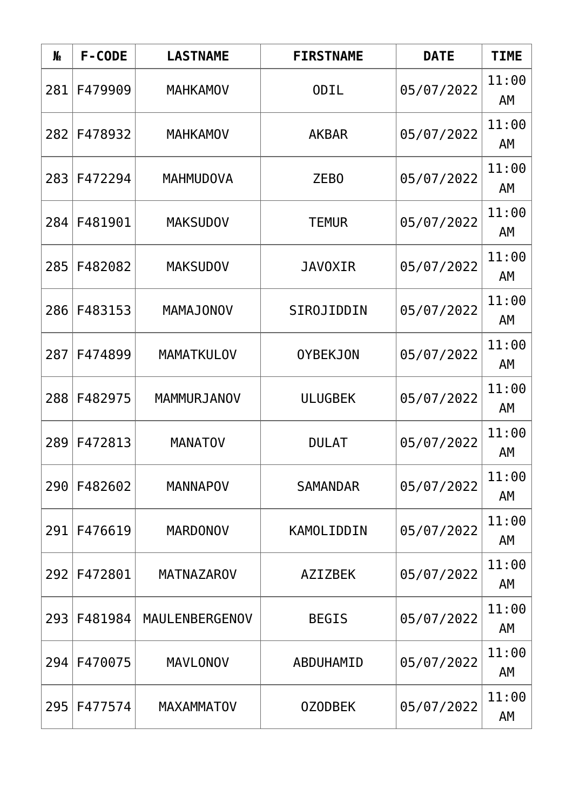| N <sub>o</sub> | F-CODE  | <b>LASTNAME</b>   | <b>FIRSTNAME</b> | <b>DATE</b> | <b>TIME</b> |
|----------------|---------|-------------------|------------------|-------------|-------------|
| 281            | F479909 | <b>MAHKAMOV</b>   | <b>ODIL</b>      | 05/07/2022  | 11:00<br>AM |
| 282            | F478932 | <b>MAHKAMOV</b>   | <b>AKBAR</b>     | 05/07/2022  | 11:00<br>AM |
| 283            | F472294 | <b>MAHMUDOVA</b>  | ZEB <sub>0</sub> | 05/07/2022  | 11:00<br>AM |
| 284            | F481901 | <b>MAKSUDOV</b>   | <b>TEMUR</b>     | 05/07/2022  | 11:00<br>AM |
| 285            | F482082 | <b>MAKSUDOV</b>   | <b>JAVOXIR</b>   | 05/07/2022  | 11:00<br>AM |
| 286            | F483153 | <b>MAMAJONOV</b>  | SIROJIDDIN       | 05/07/2022  | 11:00<br>AM |
| 287            | F474899 | <b>MAMATKULOV</b> | <b>OYBEKJON</b>  | 05/07/2022  | 11:00<br>AM |
| 288            | F482975 | MAMMURJANOV       | <b>ULUGBEK</b>   | 05/07/2022  | 11:00<br>AM |
| 289            | F472813 | <b>MANATOV</b>    | <b>DULAT</b>     | 05/07/2022  | 11:00<br>AΜ |
| 290            | F482602 | <b>MANNAPOV</b>   | <b>SAMANDAR</b>  | 05/07/2022  | 11:00<br>AM |
| 291            | F476619 | <b>MARDONOV</b>   | KAMOLIDDIN       | 05/07/2022  | 11:00<br>AΜ |
| 292            | F472801 | <b>MATNAZAROV</b> | <b>AZIZBEK</b>   | 05/07/2022  | 11:00<br>AΜ |
| 293            | F481984 | MAULENBERGENOV    | <b>BEGIS</b>     | 05/07/2022  | 11:00<br>AM |
| 294            | F470075 | <b>MAVLONOV</b>   | ABDUHAMID        | 05/07/2022  | 11:00<br>AM |
| 295            | F477574 | <b>MAXAMMATOV</b> | <b>OZODBEK</b>   | 05/07/2022  | 11:00<br>AM |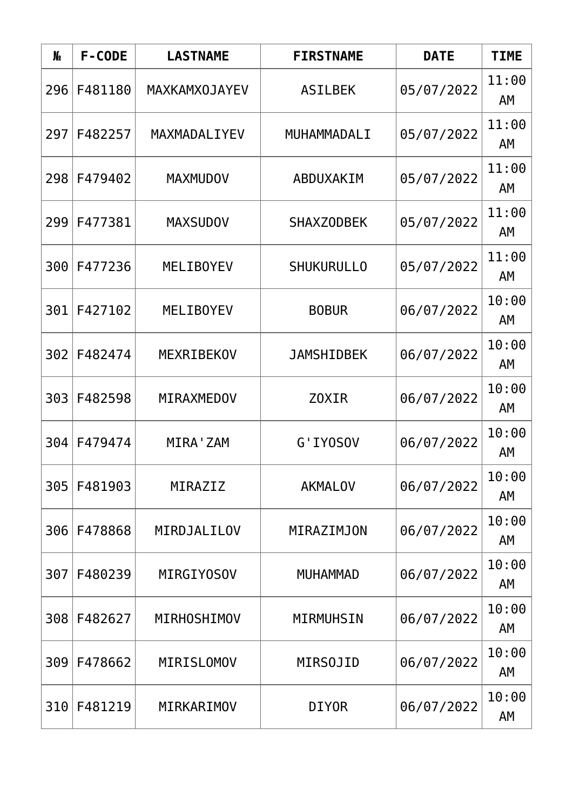| N <sub>o</sub> | F-CODE  | <b>LASTNAME</b>      | <b>FIRSTNAME</b>  | <b>DATE</b> | <b>TIME</b> |
|----------------|---------|----------------------|-------------------|-------------|-------------|
| 296            | F481180 | <b>MAXKAMXOJAYEV</b> | <b>ASILBEK</b>    | 05/07/2022  | 11:00<br>AM |
| 297            | F482257 | MAXMADALIYEV         | MUHAMMADALI       | 05/07/2022  | 11:00<br>AM |
| 298            | F479402 | <b>MAXMUDOV</b>      | ABDUXAKIM         | 05/07/2022  | 11:00<br>AΜ |
| 299            | F477381 | <b>MAXSUDOV</b>      | <b>SHAXZODBEK</b> | 05/07/2022  | 11:00<br>AM |
| 300            | F477236 | <b>MELIBOYEV</b>     | <b>SHUKURULLO</b> | 05/07/2022  | 11:00<br>AM |
| 301            | F427102 | <b>MELIBOYEV</b>     | <b>BOBUR</b>      | 06/07/2022  | 10:00<br>AM |
| 302            | F482474 | MEXRIBEKOV           | <b>JAMSHIDBEK</b> | 06/07/2022  | 10:00<br>AM |
| 303            | F482598 | MIRAXMEDOV           | Z0XIR             | 06/07/2022  | 10:00<br>AM |
| 304            | F479474 | MIRA ' ZAM           | G'IYOSOV          | 06/07/2022  | 10:00<br>AΜ |
| 305            | F481903 | MIRAZIZ              | <b>AKMALOV</b>    | 06/07/2022  | 10:00<br>AM |
| 306            | F478868 | MIRDJALILOV          | MIRAZIMJON        | 06/07/2022  | 10:00<br>AΜ |
| 307            | F480239 | MIRGIY0SOV           | <b>MUHAMMAD</b>   | 06/07/2022  | 10:00<br>AΜ |
| 308            | F482627 | MIRHOSHIMOV          | MIRMUHSIN         | 06/07/2022  | 10:00<br>AM |
| 309            | F478662 | <b>MIRISLOMOV</b>    | <b>MIRSOJID</b>   | 06/07/2022  | 10:00<br>AM |
| 310            | F481219 | MIRKARIMOV           | <b>DIYOR</b>      | 06/07/2022  | 10:00<br>AM |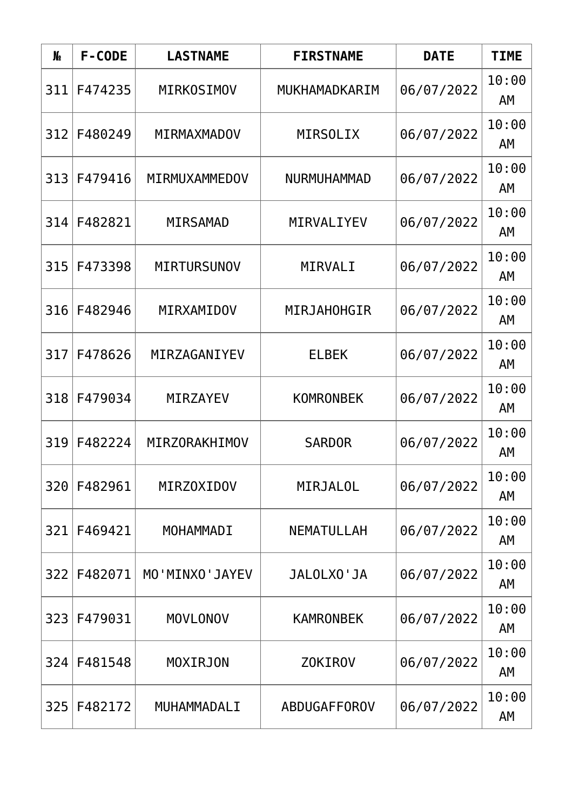| N <sub>2</sub> | F-CODE  | <b>LASTNAME</b>    | <b>FIRSTNAME</b>   | <b>DATE</b> | <b>TIME</b> |
|----------------|---------|--------------------|--------------------|-------------|-------------|
| 311            | F474235 | <b>MIRKOSIMOV</b>  | MUKHAMADKARIM      | 06/07/2022  | 10:00<br>AM |
| 312            | F480249 | MIRMAXMADOV        | <b>MIRSOLIX</b>    | 06/07/2022  | 10:00<br>AM |
| 313            | F479416 | MIRMUXAMMEDOV      | <b>NURMUHAMMAD</b> | 06/07/2022  | 10:00<br>AΜ |
| 314            | F482821 | <b>MIRSAMAD</b>    | MIRVALIYEV         | 06/07/2022  | 10:00<br>AM |
| 315            | F473398 | <b>MIRTURSUNOV</b> | MIRVALI            | 06/07/2022  | 10:00<br>AM |
| 316            | F482946 | MIRXAMIDOV         | <b>MIRJAHOHGIR</b> | 06/07/2022  | 10:00<br>AM |
| 317            | F478626 | MIRZAGANIYEV       | <b>ELBEK</b>       | 06/07/2022  | 10:00<br>AM |
| 318            | F479034 | <b>MIRZAYEV</b>    | <b>KOMRONBEK</b>   | 06/07/2022  | 10:00<br>AM |
| 319            | F482224 | MIRZORAKHIMOV      | <b>SARDOR</b>      | 06/07/2022  | 10:00<br>AΜ |
| 320            | F482961 | <b>MIRZOXIDOV</b>  | <b>MIRJALOL</b>    | 06/07/2022  | 10:00<br>AM |
| 321            | F469421 | MOHAMMADI          | <b>NEMATULLAH</b>  | 06/07/2022  | 10:00<br>AΜ |
| 322            | F482071 | MO'MINXO'JAYEV     | JALOLXO'JA         | 06/07/2022  | 10:00<br>AM |
| 323            | F479031 | <b>MOVLONOV</b>    | <b>KAMRONBEK</b>   | 06/07/2022  | 10:00<br>AM |
| 324            | F481548 | <b>MOXIRJON</b>    | <b>ZOKIROV</b>     | 06/07/2022  | 10:00<br>AM |
| 325            | F482172 | MUHAMMADALI        | ABDUGAFFOROV       | 06/07/2022  | 10:00<br>AM |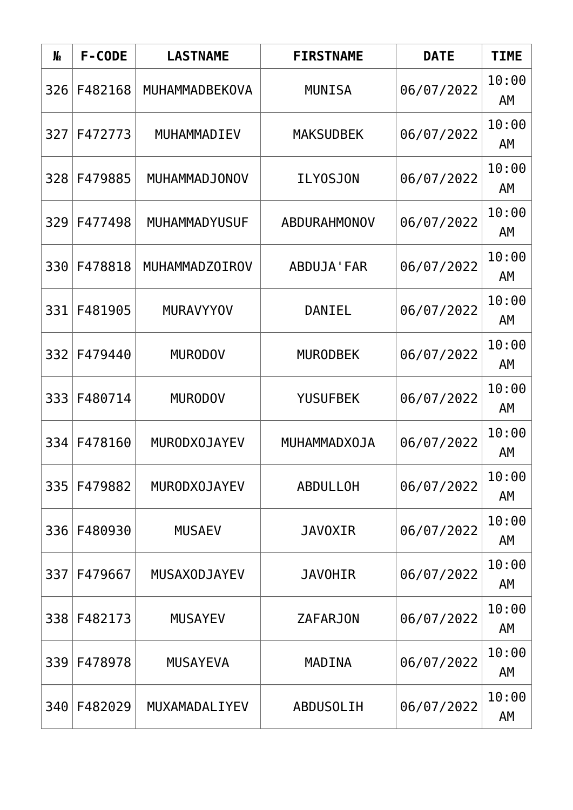| N <sub>o</sub> | F-CODE  | <b>LASTNAME</b>     | <b>FIRSTNAME</b>    | <b>DATE</b> | <b>TIME</b> |
|----------------|---------|---------------------|---------------------|-------------|-------------|
| 326            | F482168 | MUHAMMADBEKOVA      | <b>MUNISA</b>       | 06/07/2022  | 10:00<br>AM |
| 327            | F472773 | MUHAMMADIEV         | <b>MAKSUDBEK</b>    | 06/07/2022  | 10:00<br>AM |
| 328            | F479885 | MUHAMMADJONOV       | <b>ILY0SJON</b>     | 06/07/2022  | 10:00<br>AM |
| 329            | F477498 | MUHAMMADYUSUF       | <b>ABDURAHMONOV</b> | 06/07/2022  | 10:00<br>AM |
| 330            | F478818 | MUHAMMADZOIROV      | ABDUJA'FAR          | 06/07/2022  | 10:00<br>AM |
| 331            | F481905 | <b>MURAVYYOV</b>    | <b>DANIEL</b>       | 06/07/2022  | 10:00<br>AM |
| 332            | F479440 | <b>MURODOV</b>      | <b>MURODBEK</b>     | 06/07/2022  | 10:00<br>AM |
| 333            | F480714 | <b>MURODOV</b>      | <b>YUSUFBEK</b>     | 06/07/2022  | 10:00<br>AM |
| 334            | F478160 | <b>MURODXOJAYEV</b> | MUHAMMADXOJA        | 06/07/2022  | 10:00<br>AM |
| 335            | F479882 | <b>MURODXOJAYEV</b> | <b>ABDULLOH</b>     | 06/07/2022  | 10:00<br>AM |
| 336            | F480930 | <b>MUSAEV</b>       | <b>JAVOXIR</b>      | 06/07/2022  | 10:00<br>AΜ |
| 337            | F479667 | <b>MUSAXODJAYEV</b> | <b>JAVOHIR</b>      | 06/07/2022  | 10:00<br>AM |
| 338            | F482173 | <b>MUSAYEV</b>      | <b>ZAFARJON</b>     | 06/07/2022  | 10:00<br>AM |
| 339            | F478978 | <b>MUSAYEVA</b>     | MADINA              | 06/07/2022  | 10:00<br>AM |
| 340            | F482029 | MUXAMADALIYEV       | <b>ABDUSOLIH</b>    | 06/07/2022  | 10:00<br>AM |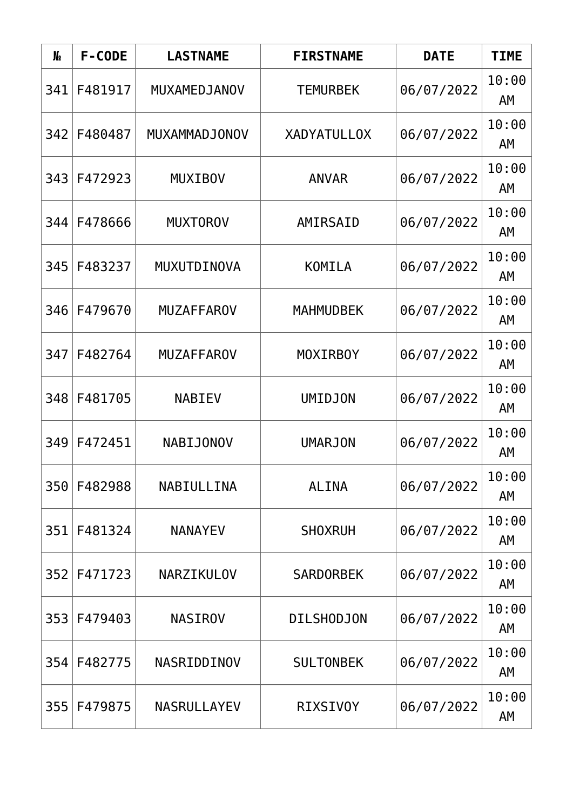| N <sub>o</sub> | F-CODE  | <b>LASTNAME</b>    | <b>FIRSTNAME</b>   | <b>DATE</b> | <b>TIME</b> |
|----------------|---------|--------------------|--------------------|-------------|-------------|
| 341            | F481917 | MUXAMEDJANOV       | <b>TEMURBEK</b>    | 06/07/2022  | 10:00<br>AM |
| 342            | F480487 | MUXAMMADJONOV      | <b>XADYATULLOX</b> | 06/07/2022  | 10:00<br>AM |
| 343            | F472923 | <b>MUXIBOV</b>     | <b>ANVAR</b>       | 06/07/2022  | 10:00<br>AΜ |
| 344            | F478666 | <b>MUXTOROV</b>    | AMIRSAID           | 06/07/2022  | 10:00<br>AM |
| 345            | F483237 | MUXUTDINOVA        | KOMILA             | 06/07/2022  | 10:00<br>AM |
| 346            | F479670 | <b>MUZAFFAROV</b>  | <b>MAHMUDBEK</b>   | 06/07/2022  | 10:00<br>AM |
| 347            | F482764 | <b>MUZAFFAROV</b>  | <b>MOXIRBOY</b>    | 06/07/2022  | 10:00<br>AM |
| 348            | F481705 | <b>NABIEV</b>      | <b>UMIDJON</b>     | 06/07/2022  | 10:00<br>AM |
| 349            | F472451 | <b>NABIJONOV</b>   | <b>UMARJON</b>     | 06/07/2022  | 10:00<br>AΜ |
| 350            | F482988 | NABIULLINA         | <b>ALINA</b>       | 06/07/2022  | 10:00<br>AM |
| 351            | F481324 | <b>NANAYEV</b>     | <b>SHOXRUH</b>     | 06/07/2022  | 10:00<br>AΜ |
| 352            | F471723 | NARZIKULOV         | <b>SARDORBEK</b>   | 06/07/2022  | 10:00<br>AΜ |
| 353            | F479403 | <b>NASIROV</b>     | <b>DILSHODJON</b>  | 06/07/2022  | 10:00<br>AM |
| 354            | F482775 | NASRIDDINOV        | <b>SULTONBEK</b>   | 06/07/2022  | 10:00<br>AM |
| 355            | F479875 | <b>NASRULLAYEV</b> | <b>RIXSIVOY</b>    | 06/07/2022  | 10:00<br>AM |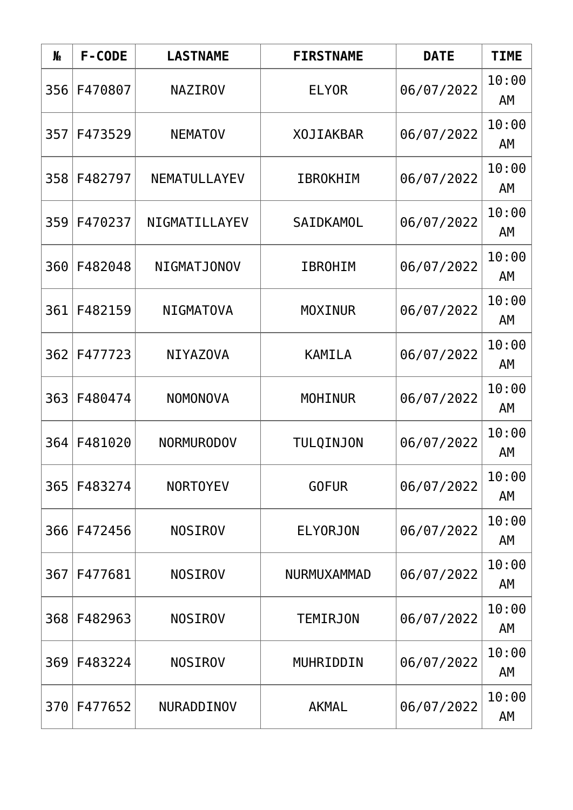| N <sub>o</sub> | F-CODE  | <b>LASTNAME</b>   | <b>FIRSTNAME</b>   | <b>DATE</b> | <b>TIME</b> |
|----------------|---------|-------------------|--------------------|-------------|-------------|
| 356            | F470807 | <b>NAZIROV</b>    | <b>ELYOR</b>       | 06/07/2022  | 10:00<br>AM |
| 357            | F473529 | <b>NEMATOV</b>    | <b>XOJIAKBAR</b>   | 06/07/2022  | 10:00<br>AM |
| 358            | F482797 | NEMATULLAYEV      | <b>IBROKHIM</b>    | 06/07/2022  | 10:00<br>AM |
| 359            | F470237 | NIGMATILLAYEV     | SAIDKAMOL          | 06/07/2022  | 10:00<br>AM |
| 360            | F482048 | NIGMATJONOV       | <b>IBROHIM</b>     | 06/07/2022  | 10:00<br>AM |
| 361            | F482159 | <b>NIGMATOVA</b>  | <b>MOXINUR</b>     | 06/07/2022  | 10:00<br>AM |
| 362            | F477723 | <b>NIYAZOVA</b>   | <b>KAMILA</b>      | 06/07/2022  | 10:00<br>AM |
| 363            | F480474 | <b>NOMONOVA</b>   | <b>MOHINUR</b>     | 06/07/2022  | 10:00<br>AM |
| 364            | F481020 | <b>NORMURODOV</b> | <b>TULQINJON</b>   | 06/07/2022  | 10:00<br>AΜ |
| 365            | F483274 | <b>NORTOYEV</b>   | <b>GOFUR</b>       | 06/07/2022  | 10:00<br>AM |
| 366            | F472456 | <b>NOSIROV</b>    | <b>ELYORJON</b>    | 06/07/2022  | 10:00<br>AΜ |
| 367            | F477681 | <b>NOSIROV</b>    | <b>NURMUXAMMAD</b> | 06/07/2022  | 10:00<br>AΜ |
| 368            | F482963 | <b>NOSIROV</b>    | <b>TEMIRJON</b>    | 06/07/2022  | 10:00<br>AM |
| 369            | F483224 | <b>NOSIROV</b>    | MUHRIDDIN          | 06/07/2022  | 10:00<br>AM |
| 370            | F477652 | NURADDINOV        | <b>AKMAL</b>       | 06/07/2022  | 10:00<br>AM |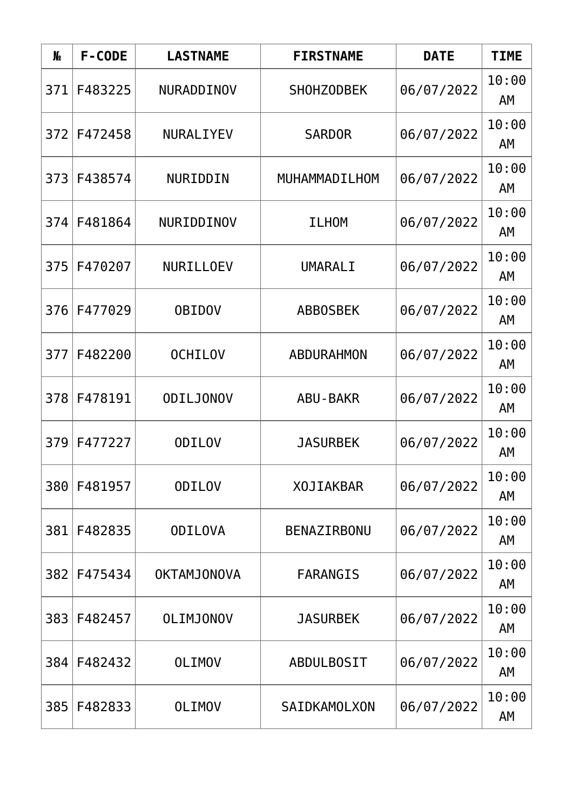| N <sub>o</sub> | F-CODE  | <b>LASTNAME</b>    | <b>FIRSTNAME</b>   | <b>DATE</b> | <b>TIME</b> |
|----------------|---------|--------------------|--------------------|-------------|-------------|
| 371            | F483225 | NURADDINOV         | SHOHZODBEK         | 06/07/2022  | 10:00<br>AM |
| 372            | F472458 | NURALIYEV          | <b>SARDOR</b>      | 06/07/2022  | 10:00<br>AM |
| 373            | F438574 | NURIDDIN           | MUHAMMADILHOM      | 06/07/2022  | 10:00<br>AM |
| 374            | F481864 | NURIDDINOV         | <b>ILHOM</b>       | 06/07/2022  | 10:00<br>AM |
| 375            | F470207 | NURILLOEV          | UMARALI            | 06/07/2022  | 10:00<br>AM |
| 376            | F477029 | <b>OBIDOV</b>      | <b>ABBOSBEK</b>    | 06/07/2022  | 10:00<br>AM |
| 377            | F482200 | <b>OCHILOV</b>     | <b>ABDURAHMON</b>  | 06/07/2022  | 10:00<br>AM |
| 378            | F478191 | <b>ODILJONOV</b>   | <b>ABU-BAKR</b>    | 06/07/2022  | 10:00<br>AM |
| 379            | F477227 | <b>ODILOV</b>      | <b>JASURBEK</b>    | 06/07/2022  | 10:00<br>AΜ |
| 380            | F481957 | <b>ODILOV</b>      | <b>XOJIAKBAR</b>   | 06/07/2022  | 10:00<br>AM |
| 381            | F482835 | <b>ODILOVA</b>     | <b>BENAZIRBONU</b> | 06/07/2022  | 10:00<br>AΜ |
| 382            | F475434 | <b>OKTAMJONOVA</b> | <b>FARANGIS</b>    | 06/07/2022  | 10:00<br>AΜ |
| 383            | F482457 | <b>OLIMJONOV</b>   | <b>JASURBEK</b>    | 06/07/2022  | 10:00<br>AM |
| 384            | F482432 | <b>OLIMOV</b>      | <b>ABDULBOSIT</b>  | 06/07/2022  | 10:00<br>AM |
| 385            | F482833 | <b>OLIMOV</b>      | SAIDKAMOLXON       | 06/07/2022  | 10:00<br>AM |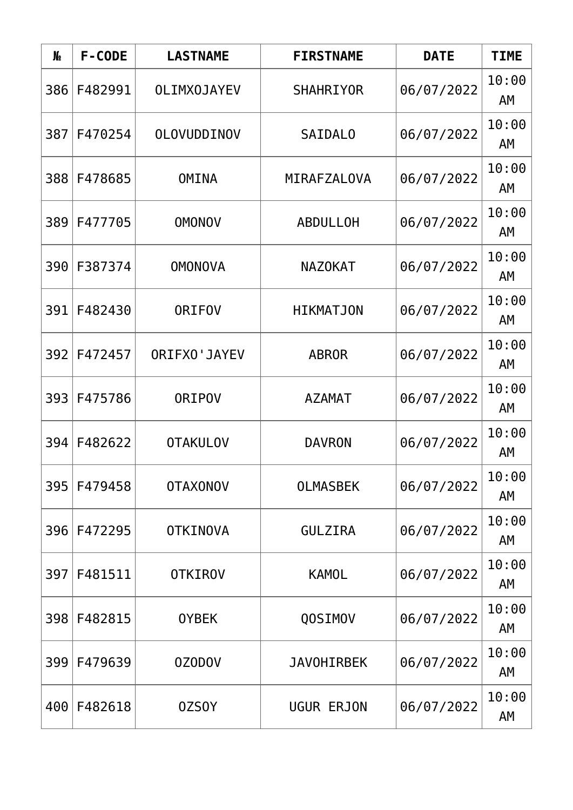| N <sub>o</sub> | F-CODE  | <b>LASTNAME</b>    | <b>FIRSTNAME</b>  | <b>DATE</b> | <b>TIME</b> |
|----------------|---------|--------------------|-------------------|-------------|-------------|
| 386            | F482991 | <b>OLIMXOJAYEV</b> | <b>SHAHRIYOR</b>  | 06/07/2022  | 10:00<br>AM |
| 387            | F470254 | OLOVUDDINOV        | <b>SAIDALO</b>    | 06/07/2022  | 10:00<br>AM |
| 388            | F478685 | <b>OMINA</b>       | MIRAFZALOVA       | 06/07/2022  | 10:00<br>AΜ |
| 389            | F477705 | <b>OMONOV</b>      | <b>ABDULLOH</b>   | 06/07/2022  | 10:00<br>AΜ |
| 390            | F387374 | <b>OMONOVA</b>     | <b>NAZOKAT</b>    | 06/07/2022  | 10:00<br>AM |
| 391            | F482430 | <b>ORIFOV</b>      | <b>HIKMATJON</b>  | 06/07/2022  | 10:00<br>AM |
| 392            | F472457 | ORIFXO' JAYEV      | <b>ABROR</b>      | 06/07/2022  | 10:00<br>AM |
| 3931           | F475786 | <b>ORIPOV</b>      | <b>AZAMAT</b>     | 06/07/2022  | 10:00<br>AM |
| 394            | F482622 | <b>OTAKULOV</b>    | <b>DAVRON</b>     | 06/07/2022  | 10:00<br>AΜ |
| 395            | F479458 | <b>OTAXONOV</b>    | <b>OLMASBEK</b>   | 06/07/2022  | 10:00<br>AM |
| 396            | F472295 | <b>OTKINOVA</b>    | <b>GULZIRA</b>    | 06/07/2022  | 10:00<br>AM |
| 397            | F481511 | <b>OTKIROV</b>     | <b>KAMOL</b>      | 06/07/2022  | 10:00<br>AM |
| 398            | F482815 | <b>OYBEK</b>       | QOSIMOV           | 06/07/2022  | 10:00<br>AM |
| 399            | F479639 | 0Z0D0V             | <b>JAVOHIRBEK</b> | 06/07/2022  | 10:00<br>AM |
| 400            | F482618 | 0ZS0Y              | UGUR ERJON        | 06/07/2022  | 10:00<br>AM |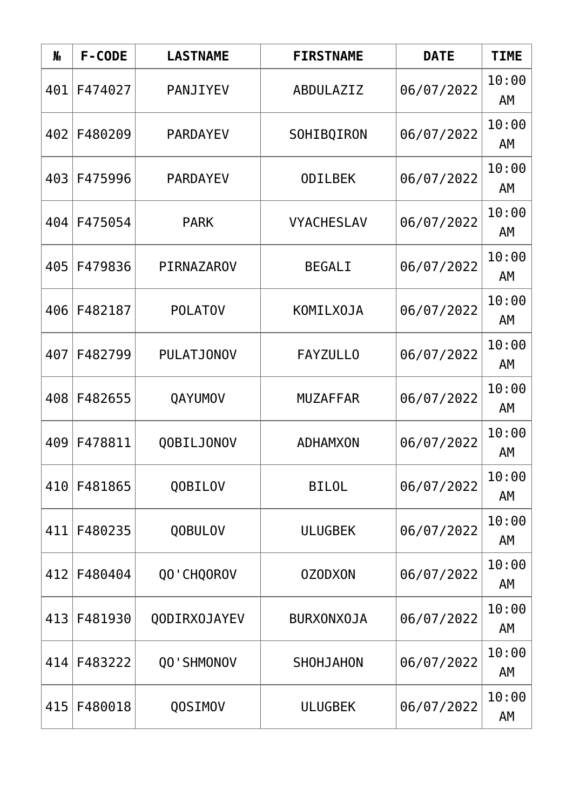| N <sub>o</sub> | F-CODE  | <b>LASTNAME</b>   | <b>FIRSTNAME</b>  | <b>DATE</b> | <b>TIME</b> |
|----------------|---------|-------------------|-------------------|-------------|-------------|
| 401            | F474027 | PANJIYEV          | ABDULAZIZ         | 06/07/2022  | 10:00<br>AM |
| 402            | F480209 | <b>PARDAYEV</b>   | SOHIBQIRON        | 06/07/2022  | 10:00<br>AM |
| 403            | F475996 | <b>PARDAYEV</b>   | <b>ODILBEK</b>    | 06/07/2022  | 10:00<br>AM |
| 404            | F475054 | <b>PARK</b>       | <b>VYACHESLAV</b> | 06/07/2022  | 10:00<br>AM |
| 405            | F479836 | PIRNAZAROV        | <b>BEGALI</b>     | 06/07/2022  | 10:00<br>AM |
| 406            | F482187 | <b>POLATOV</b>    | KOMILX0JA         | 06/07/2022  | 10:00<br>AM |
| 407            | F482799 | <b>PULATJONOV</b> | <b>FAYZULLO</b>   | 06/07/2022  | 10:00<br>AM |
| 408            | F482655 | QAYUMOV           | <b>MUZAFFAR</b>   | 06/07/2022  | 10:00<br>AM |
| 409            | F478811 | QOBILJONOV        | <b>ADHAMXON</b>   | 06/07/2022  | 10:00<br>AΜ |
| 410            | F481865 | QOBILOV           | <b>BILOL</b>      | 06/07/2022  | 10:00<br>AM |
| 411            | F480235 | QOBULOV           | <b>ULUGBEK</b>    | 06/07/2022  | 10:00<br>AΜ |
| 412            | F480404 | QO'CHQOROV        | <b>OZODXON</b>    | 06/07/2022  | 10:00<br>AΜ |
| 413            | F481930 | QODIRX0JAYEV      | <b>BURXONXOJA</b> | 06/07/2022  | 10:00<br>AM |
| 414            | F483222 | QO'SHMONOV        | SHOHJAHON         | 06/07/2022  | 10:00<br>AM |
| 415            | F480018 | QOSIMOV           | <b>ULUGBEK</b>    | 06/07/2022  | 10:00<br>AM |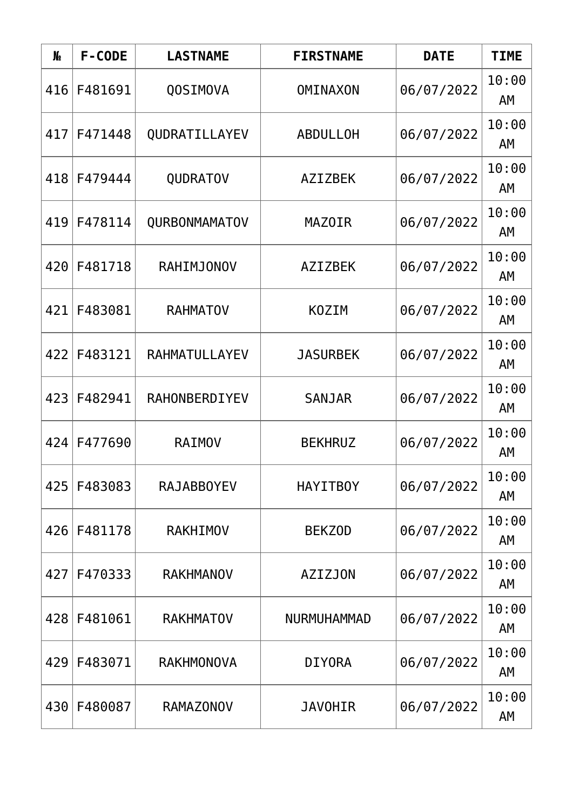| N <sub>o</sub> | F-CODE  | <b>LASTNAME</b>   | <b>FIRSTNAME</b> | <b>DATE</b> | <b>TIME</b> |
|----------------|---------|-------------------|------------------|-------------|-------------|
| 416            | F481691 | QOSIMOVA          | <b>OMINAXON</b>  | 06/07/2022  | 10:00<br>AM |
| 417            | F471448 | QUDRATILLAYEV     | <b>ABDULLOH</b>  | 06/07/2022  | 10:00<br>AM |
| 418            | F479444 | <b>QUDRATOV</b>   | <b>AZIZBEK</b>   | 06/07/2022  | 10:00<br>AM |
| 419            | F478114 | QURBONMAMATOV     | <b>MAZOIR</b>    | 06/07/2022  | 10:00<br>AM |
| 420            | F481718 | <b>RAHIMJONOV</b> | <b>AZIZBEK</b>   | 06/07/2022  | 10:00<br>AM |
| 421            | F483081 | <b>RAHMATOV</b>   | <b>KOZIM</b>     | 06/07/2022  | 10:00<br>AM |
| 422            | F483121 | RAHMATULLAYEV     | <b>JASURBEK</b>  | 06/07/2022  | 10:00<br>AM |
| 423            | F482941 | RAHONBERDIYEV     | <b>SANJAR</b>    | 06/07/2022  | 10:00<br>AM |
| 424            | F477690 | <b>RAIMOV</b>     | <b>BEKHRUZ</b>   | 06/07/2022  | 10:00<br>AΜ |
| 425            | F483083 | <b>RAJABBOYEV</b> | <b>HAYITBOY</b>  | 06/07/2022  | 10:00<br>AM |
| 426            | F481178 | <b>RAKHIMOV</b>   | <b>BEKZOD</b>    | 06/07/2022  | 10:00<br>AΜ |
| 427            | F470333 | <b>RAKHMANOV</b>  | <b>AZIZJON</b>   | 06/07/2022  | 10:00<br>AΜ |
| 428            | F481061 | <b>RAKHMATOV</b>  | NURMUHAMMAD      | 06/07/2022  | 10:00<br>AM |
| 429            | F483071 | <b>RAKHMONOVA</b> | <b>DIYORA</b>    | 06/07/2022  | 10:00<br>AM |
| 430            | F480087 | <b>RAMAZONOV</b>  | <b>JAVOHIR</b>   | 06/07/2022  | 10:00<br>AM |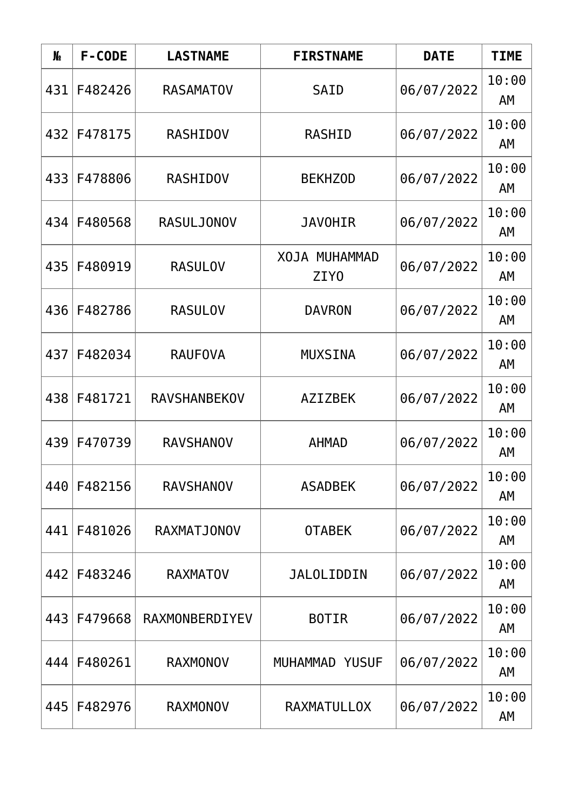| N <sub>o</sub> | F-CODE  | <b>LASTNAME</b>     | <b>FIRSTNAME</b>                  | <b>DATE</b> | <b>TIME</b> |
|----------------|---------|---------------------|-----------------------------------|-------------|-------------|
| 431            | F482426 | <b>RASAMATOV</b>    | <b>SAID</b>                       | 06/07/2022  | 10:00<br>AM |
| 432            | F478175 | <b>RASHIDOV</b>     | <b>RASHID</b>                     | 06/07/2022  | 10:00<br>AM |
| 433            | F478806 | <b>RASHIDOV</b>     | <b>BEKHZOD</b>                    | 06/07/2022  | 10:00<br>AM |
| 434            | F480568 | <b>RASULJONOV</b>   | <b>JAVOHIR</b>                    | 06/07/2022  | 10:00<br>AM |
| 435            | F480919 | <b>RASULOV</b>      | XOJA MUHAMMAD<br>ZIY <sub>0</sub> | 06/07/2022  | 10:00<br>AM |
| 436            | F482786 | <b>RASULOV</b>      | <b>DAVRON</b>                     | 06/07/2022  | 10:00<br>AM |
| 437            | F482034 | <b>RAUFOVA</b>      | <b>MUXSINA</b>                    | 06/07/2022  | 10:00<br>AM |
| 438            | F481721 | <b>RAVSHANBEKOV</b> | <b>AZIZBEK</b>                    | 06/07/2022  | 10:00<br>AM |
| 439            | F470739 | <b>RAVSHANOV</b>    | <b>AHMAD</b>                      | 06/07/2022  | 10:00<br>AΜ |
| 440            | F482156 | <b>RAVSHANOV</b>    | <b>ASADBEK</b>                    | 06/07/2022  | 10:00<br>AM |
| 441            | F481026 | <b>RAXMATJONOV</b>  | <b>OTABEK</b>                     | 06/07/2022  | 10:00<br>AΜ |
| 442            | F483246 | <b>RAXMATOV</b>     | <b>JALOLIDDIN</b>                 | 06/07/2022  | 10:00<br>AΜ |
| 443            | F479668 | RAXMONBERDIYEV      | <b>BOTIR</b>                      | 06/07/2022  | 10:00<br>AM |
| 444            | F480261 | <b>RAXMONOV</b>     | MUHAMMAD YUSUF                    | 06/07/2022  | 10:00<br>AM |
| 445            | F482976 | <b>RAXMONOV</b>     | <b>RAXMATULLOX</b>                | 06/07/2022  | 10:00<br>AM |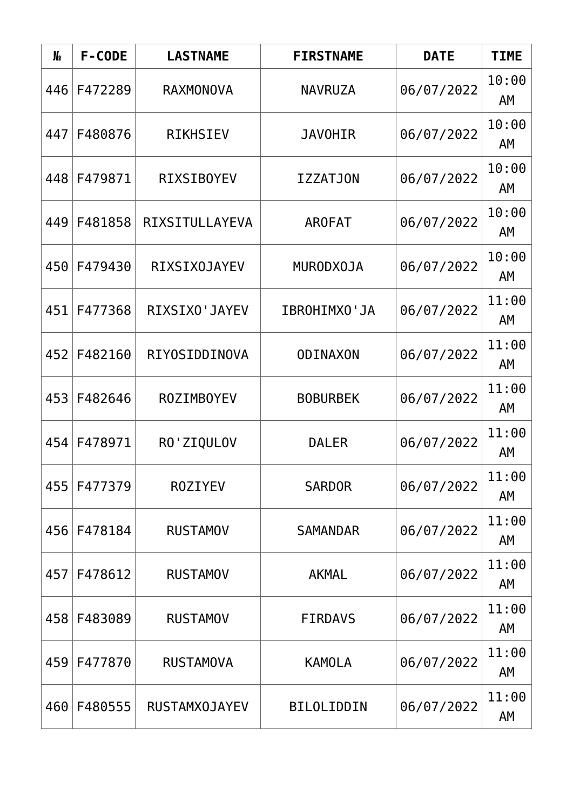| N <sub>o</sub> | F-CODE  | <b>LASTNAME</b>      | <b>FIRSTNAME</b>  | <b>DATE</b> | <b>TIME</b> |
|----------------|---------|----------------------|-------------------|-------------|-------------|
| 446            | F472289 | <b>RAXMONOVA</b>     | <b>NAVRUZA</b>    | 06/07/2022  | 10:00<br>AM |
| 447            | F480876 | <b>RIKHSIEV</b>      | <b>JAVOHIR</b>    | 06/07/2022  | 10:00<br>AM |
| 448            | F479871 | <b>RIXSIBOYEV</b>    | <b>IZZATJON</b>   | 06/07/2022  | 10:00<br>AΜ |
| 449            | F481858 | RIXSITULLAYEVA       | <b>AROFAT</b>     | 06/07/2022  | 10:00<br>AM |
| 450            | F479430 | <b>RIXSIX0JAYEV</b>  | <b>MURODXOJA</b>  | 06/07/2022  | 10:00<br>AM |
| 451            | F477368 | RIXSIXO'JAYEV        | IBROHIMXO'JA      | 06/07/2022  | 11:00<br>AM |
| 452            | F482160 | RIYOSIDDINOVA        | <b>ODINAXON</b>   | 06/07/2022  | 11:00<br>AM |
| 453            | F482646 | <b>ROZIMBOYEV</b>    | <b>BOBURBEK</b>   | 06/07/2022  | 11:00<br>AM |
| 454            | F478971 | RO'ZIQULOV           | <b>DALER</b>      | 06/07/2022  | 11:00<br>AΜ |
| 455            | F477379 | <b>ROZIYEV</b>       | <b>SARDOR</b>     | 06/07/2022  | 11:00<br>AM |
| 456            | F478184 | <b>RUSTAMOV</b>      | <b>SAMANDAR</b>   | 06/07/2022  | 11:00<br>AΜ |
| 457            | F478612 | <b>RUSTAMOV</b>      | <b>AKMAL</b>      | 06/07/2022  | 11:00<br>AΜ |
| 458            | F483089 | <b>RUSTAMOV</b>      | <b>FIRDAVS</b>    | 06/07/2022  | 11:00<br>AM |
| 459            | F477870 | <b>RUSTAMOVA</b>     | <b>KAMOLA</b>     | 06/07/2022  | 11:00<br>AM |
| 460            | F480555 | <b>RUSTAMX0JAYEV</b> | <b>BILOLIDDIN</b> | 06/07/2022  | 11:00<br>AM |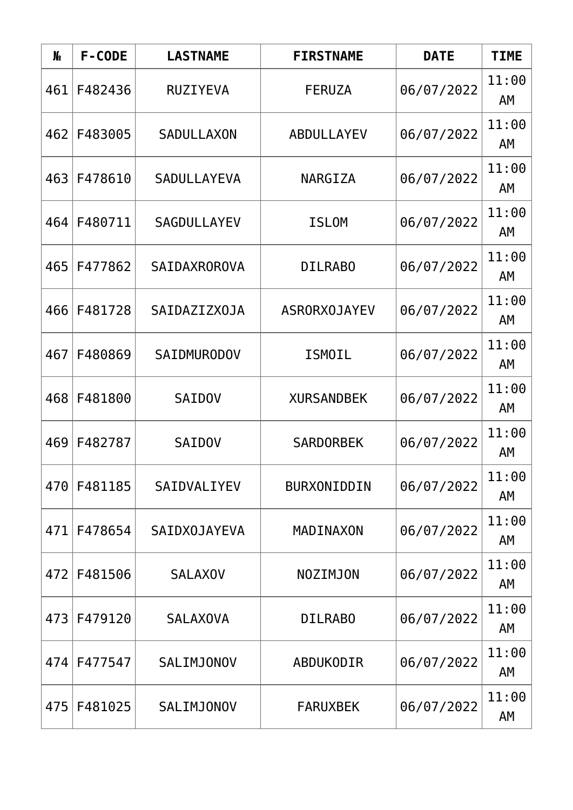| N <sub>o</sub> | F-CODE  | <b>LASTNAME</b>     | <b>FIRSTNAME</b>    | <b>DATE</b> | <b>TIME</b> |
|----------------|---------|---------------------|---------------------|-------------|-------------|
| 461            | F482436 | <b>RUZIYEVA</b>     | <b>FERUZA</b>       | 06/07/2022  | 11:00<br>AM |
| 462            | F483005 | <b>SADULLAXON</b>   | ABDULLAYEV          | 06/07/2022  | 11:00<br>AM |
| 463            | F478610 | <b>SADULLAYEVA</b>  | NARGIZA             | 06/07/2022  | 11:00<br>AΜ |
| 464            | F480711 | <b>SAGDULLAYEV</b>  | <b>ISLOM</b>        | 06/07/2022  | 11:00<br>AM |
| 465            | F477862 | <b>SAIDAXROROVA</b> | <b>DILRABO</b>      | 06/07/2022  | 11:00<br>AM |
| 466            | F481728 | SAIDAZIZX0JA        | <b>ASRORXOJAYEV</b> | 06/07/2022  | 11:00<br>AM |
| 467            | F480869 | <b>SAIDMURODOV</b>  | <b>ISMOIL</b>       | 06/07/2022  | 11:00<br>AM |
| 468            | F481800 | <b>SAIDOV</b>       | <b>XURSANDBEK</b>   | 06/07/2022  | 11:00<br>AM |
| 469            | F482787 | <b>SAIDOV</b>       | <b>SARDORBEK</b>    | 06/07/2022  | 11:00<br>AΜ |
| 470            | F481185 | SAIDVALIYEV         | BURXONIDDIN         | 06/07/2022  | 11:00<br>AM |
| 471            | F478654 | SAIDXOJAYEVA        | MADINAXON           | 06/07/2022  | 11:00<br>AΜ |
| 472            | F481506 | <b>SALAXOV</b>      | <b>NOZIMJON</b>     | 06/07/2022  | 11:00<br>AΜ |
| 473            | F479120 | <b>SALAXOVA</b>     | <b>DILRABO</b>      | 06/07/2022  | 11:00<br>AM |
| 474            | F477547 | <b>SALIMJONOV</b>   | ABDUKODIR           | 06/07/2022  | 11:00<br>AM |
| 475            | F481025 | SALIMJONOV          | <b>FARUXBEK</b>     | 06/07/2022  | 11:00<br>AM |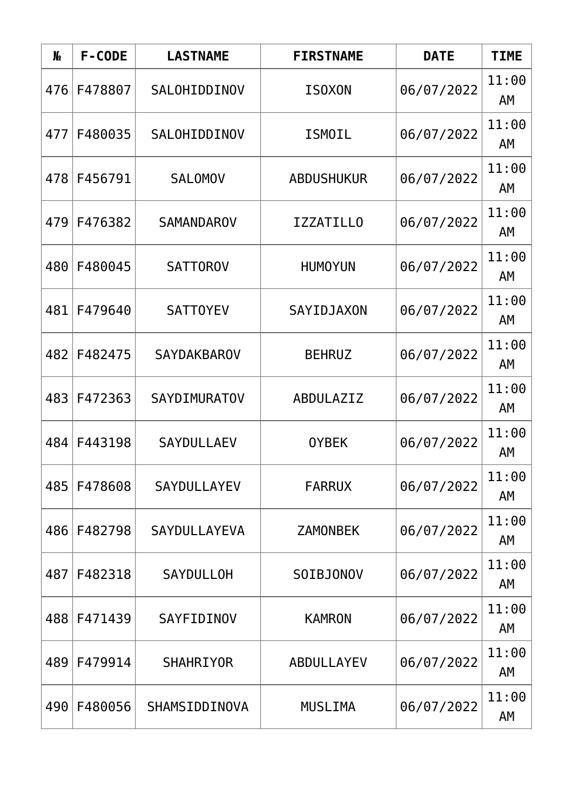| N <sub>o</sub> | F-CODE  | <b>LASTNAME</b>     | <b>FIRSTNAME</b>  | <b>DATE</b> | <b>TIME</b> |
|----------------|---------|---------------------|-------------------|-------------|-------------|
| 476            | F478807 | SALOHIDDINOV        | <b>ISOXON</b>     | 06/07/2022  | 11:00<br>AM |
| 477            | F480035 | SALOHIDDINOV        | <b>ISMOIL</b>     | 06/07/2022  | 11:00<br>AM |
| 478            | F456791 | <b>SALOMOV</b>      | <b>ABDUSHUKUR</b> | 06/07/2022  | 11:00<br>AΜ |
| 479            | F476382 | <b>SAMANDAROV</b>   | <b>IZZATILLO</b>  | 06/07/2022  | 11:00<br>AM |
| 480            | F480045 | <b>SATTOROV</b>     | <b>HUMOYUN</b>    | 06/07/2022  | 11:00<br>AM |
| 481            | F479640 | <b>SATTOYEV</b>     | SAYIDJAXON        | 06/07/2022  | 11:00<br>AM |
| 482            | F482475 | <b>SAYDAKBAROV</b>  | <b>BEHRUZ</b>     | 06/07/2022  | 11:00<br>AM |
| 483            | F472363 | <b>SAYDIMURATOV</b> | ABDULAZIZ         | 06/07/2022  | 11:00<br>AM |
| 484            | F443198 | <b>SAYDULLAEV</b>   | <b>OYBEK</b>      | 06/07/2022  | 11:00<br>AΜ |
| 485            | F478608 | SAYDULLAYEV         | <b>FARRUX</b>     | 06/07/2022  | 11:00<br>AM |
| 486            | F482798 | SAYDULLAYEVA        | <b>ZAMONBEK</b>   | 06/07/2022  | 11:00<br>AΜ |
| 487            | F482318 | <b>SAYDULLOH</b>    | SOIBJONOV         | 06/07/2022  | 11:00<br>AΜ |
| 488            | F471439 | SAYFIDINOV          | <b>KAMRON</b>     | 06/07/2022  | 11:00<br>AM |
| 489            | F479914 | <b>SHAHRIYOR</b>    | ABDULLAYEV        | 06/07/2022  | 11:00<br>AM |
| 490            | F480056 | SHAMSIDDINOVA       | <b>MUSLIMA</b>    | 06/07/2022  | 11:00<br>AM |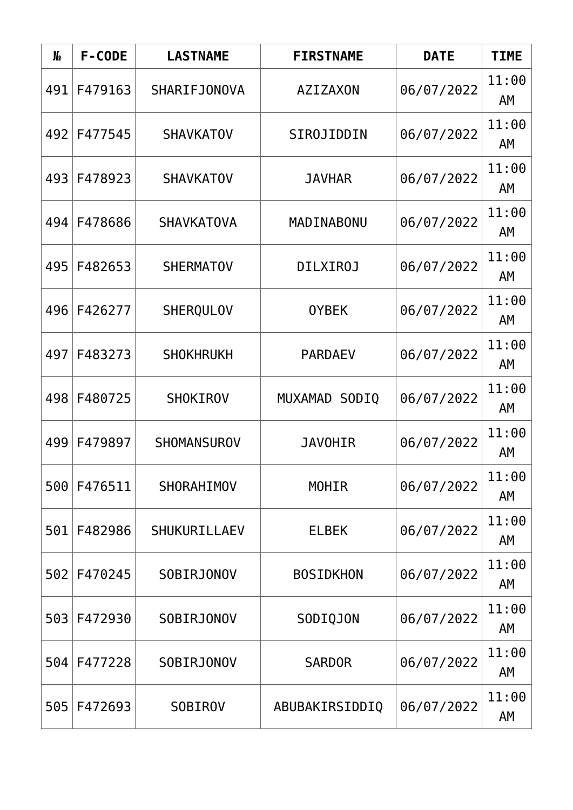| N <sub>o</sub> | F-CODE  | <b>LASTNAME</b>    | <b>FIRSTNAME</b> | <b>DATE</b> | <b>TIME</b> |
|----------------|---------|--------------------|------------------|-------------|-------------|
| 491            | F479163 | SHARIFJONOVA       | <b>AZIZAXON</b>  | 06/07/2022  | 11:00<br>AM |
| 492            | F477545 | <b>SHAVKATOV</b>   | SIROJIDDIN       | 06/07/2022  | 11:00<br>AM |
| 493            | F478923 | <b>SHAVKATOV</b>   | <b>JAVHAR</b>    | 06/07/2022  | 11:00<br>AΜ |
| 494            | F478686 | <b>SHAVKATOVA</b>  | MADINABONU       | 06/07/2022  | 11:00<br>AM |
| 495            | F482653 | <b>SHERMATOV</b>   | <b>DILXIROJ</b>  | 06/07/2022  | 11:00<br>AM |
| 496            | F426277 | <b>SHERQULOV</b>   | <b>OYBEK</b>     | 06/07/2022  | 11:00<br>AM |
| 497            | F483273 | <b>SHOKHRUKH</b>   | <b>PARDAEV</b>   | 06/07/2022  | 11:00<br>AM |
| 498            | F480725 | <b>SHOKIROV</b>    | MUXAMAD SODIQ    | 06/07/2022  | 11:00<br>AM |
| 499            | F479897 | <b>SHOMANSUROV</b> | <b>JAVOHIR</b>   | 06/07/2022  | 11:00<br>AΜ |
| 500            | F476511 | SHORAHIMOV         | <b>MOHIR</b>     | 06/07/2022  | 11:00<br>AM |
| 501            | F482986 | SHUKURILLAEV       | <b>ELBEK</b>     | 06/07/2022  | 11:00<br>AΜ |
| 502            | F470245 | <b>SOBIRJONOV</b>  | <b>BOSIDKHON</b> | 06/07/2022  | 11:00<br>AΜ |
| 503            | F472930 | <b>SOBIRJONOV</b>  | SODIQJON         | 06/07/2022  | 11:00<br>AM |
| 504            | F477228 | <b>SOBIRJONOV</b>  | <b>SARDOR</b>    | 06/07/2022  | 11:00<br>AM |
| 505            | F472693 | <b>SOBIROV</b>     | ABUBAKIRSIDDIQ   | 06/07/2022  | 11:00<br>AM |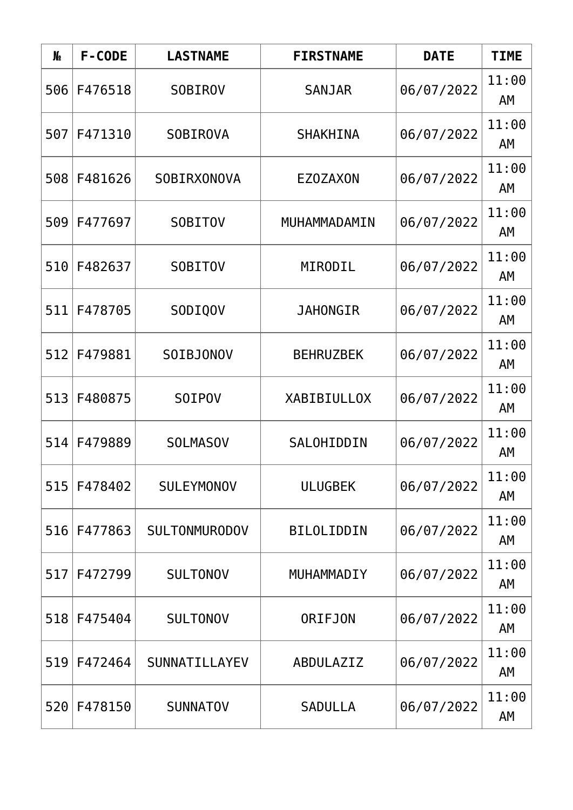| N <sub>o</sub> | F-CODE  | <b>LASTNAME</b>      | <b>FIRSTNAME</b>   | <b>DATE</b> | <b>TIME</b> |
|----------------|---------|----------------------|--------------------|-------------|-------------|
| 506            | F476518 | <b>SOBIROV</b>       | <b>SANJAR</b>      | 06/07/2022  | 11:00<br>AM |
| 507            | F471310 | <b>SOBIROVA</b>      | <b>SHAKHINA</b>    | 06/07/2022  | 11:00<br>AM |
| 508            | F481626 | SOBIRXONOVA          | <b>EZOZAXON</b>    | 06/07/2022  | 11:00<br>AΜ |
| 509            | F477697 | <b>SOBITOV</b>       | MUHAMMADAMIN       | 06/07/2022  | 11:00<br>AM |
| 510            | F482637 | <b>SOBITOV</b>       | MIRODIL            | 06/07/2022  | 11:00<br>AM |
| 511            | F478705 | SODIQOV              | <b>JAHONGIR</b>    | 06/07/2022  | 11:00<br>AM |
| 512            | F479881 | SOIBJONOV            | <b>BEHRUZBEK</b>   | 06/07/2022  | 11:00<br>AM |
| 513            | F480875 | SOIPOV               | <b>XABIBIULLOX</b> | 06/07/2022  | 11:00<br>AM |
| 514            | F479889 | <b>SOLMASOV</b>      | SALOHIDDIN         | 06/07/2022  | 11:00<br>AΜ |
| 515            | F478402 | <b>SULEYMONOV</b>    | <b>ULUGBEK</b>     | 06/07/2022  | 11:00<br>AM |
| 516            | F477863 | <b>SULTONMURODOV</b> | <b>BILOLIDDIN</b>  | 06/07/2022  | 11:00<br>AΜ |
| 517            | F472799 | <b>SULTONOV</b>      | MUHAMMADIY         | 06/07/2022  | 11:00<br>AΜ |
| 518            | F475404 | <b>SULTONOV</b>      | <b>ORIFJON</b>     | 06/07/2022  | 11:00<br>AM |
| 519            | F472464 | SUNNATILLAYEV        | ABDULAZIZ          | 06/07/2022  | 11:00<br>AM |
| 520            | F478150 | <b>SUNNATOV</b>      | <b>SADULLA</b>     | 06/07/2022  | 11:00<br>AM |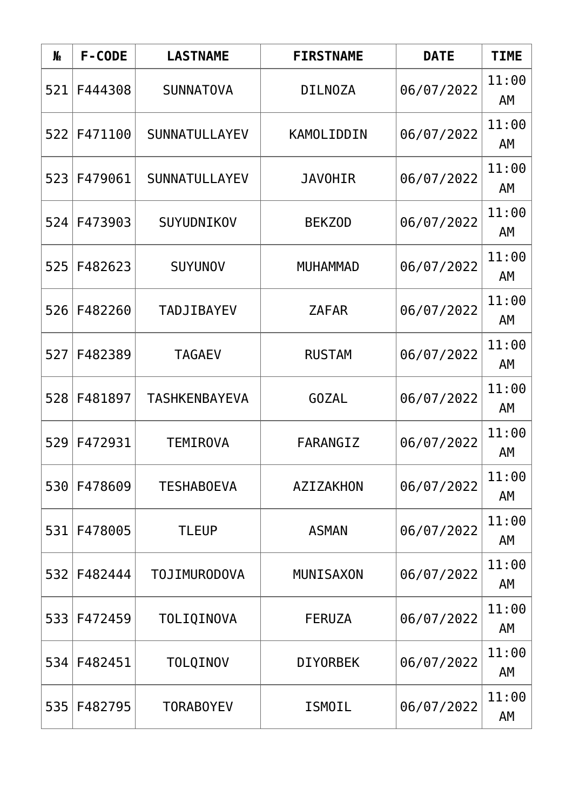| N <sub>o</sub> | F-CODE  | <b>LASTNAME</b>      | <b>FIRSTNAME</b> | <b>DATE</b> | <b>TIME</b> |
|----------------|---------|----------------------|------------------|-------------|-------------|
| 521            | F444308 | <b>SUNNATOVA</b>     | <b>DILNOZA</b>   | 06/07/2022  | 11:00<br>AM |
| 522            | F471100 | <b>SUNNATULLAYEV</b> | KAMOLIDDIN       | 06/07/2022  | 11:00<br>AM |
| 523            | F479061 | SUNNATULLAYEV        | <b>JAVOHIR</b>   | 06/07/2022  | 11:00<br>AΜ |
| 524            | F473903 | SUYUDNIKOV           | <b>BEKZOD</b>    | 06/07/2022  | 11:00<br>AM |
| 525            | F482623 | <b>SUYUNOV</b>       | <b>MUHAMMAD</b>  | 06/07/2022  | 11:00<br>AM |
| 526            | F482260 | <b>TADJIBAYEV</b>    | <b>ZAFAR</b>     | 06/07/2022  | 11:00<br>AM |
| 527            | F482389 | <b>TAGAEV</b>        | <b>RUSTAM</b>    | 06/07/2022  | 11:00<br>AM |
| 528            | F481897 | <b>TASHKENBAYEVA</b> | <b>GOZAL</b>     | 06/07/2022  | 11:00<br>AM |
| 529            | F472931 | <b>TEMIROVA</b>      | FARANGIZ         | 06/07/2022  | 11:00<br>AΜ |
| 530            | F478609 | <b>TESHABOEVA</b>    | AZIZAKHON        | 06/07/2022  | 11:00<br>AM |
| 531            | F478005 | <b>TLEUP</b>         | <b>ASMAN</b>     | 06/07/2022  | 11:00<br>AΜ |
| 532            | F482444 | <b>TOJIMURODOVA</b>  | <b>MUNISAXON</b> | 06/07/2022  | 11:00<br>AΜ |
| 533            | F472459 | TOLIQINOVA           | <b>FERUZA</b>    | 06/07/2022  | 11:00<br>AM |
| 534            | F482451 | TOLQINOV             | <b>DIYORBEK</b>  | 06/07/2022  | 11:00<br>AM |
| 535            | F482795 | <b>TORABOYEV</b>     | <b>ISMOIL</b>    | 06/07/2022  | 11:00<br>AM |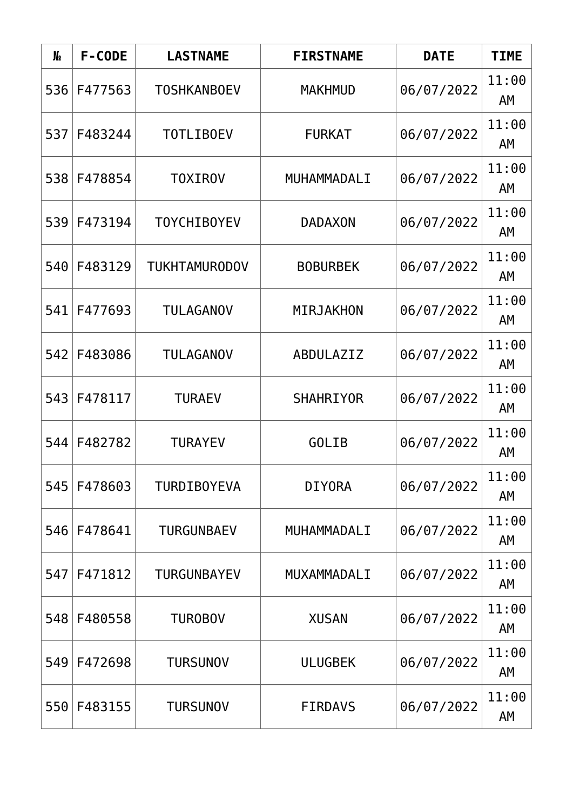| N <sub>o</sub> | F-CODE  | <b>LASTNAME</b>      | <b>FIRSTNAME</b> | <b>DATE</b> | <b>TIME</b> |
|----------------|---------|----------------------|------------------|-------------|-------------|
| 536            | F477563 | <b>TOSHKANBOEV</b>   | <b>MAKHMUD</b>   | 06/07/2022  | 11:00<br>AM |
| 537            | F483244 | <b>TOTLIBOEV</b>     | <b>FURKAT</b>    | 06/07/2022  | 11:00<br>AM |
| 538            | F478854 | <b>TOXIROV</b>       | MUHAMMADALI      | 06/07/2022  | 11:00<br>AΜ |
| 539            | F473194 | <b>TOYCHIBOYEV</b>   | <b>DADAXON</b>   | 06/07/2022  | 11:00<br>AM |
| 540            | F483129 | <b>TUKHTAMURODOV</b> | <b>BOBURBEK</b>  | 06/07/2022  | 11:00<br>AM |
| 541            | F477693 | <b>TULAGANOV</b>     | MIRJAKHON        | 06/07/2022  | 11:00<br>AM |
| 542            | F483086 | <b>TULAGANOV</b>     | ABDULAZIZ        | 06/07/2022  | 11:00<br>AM |
| 543            | F478117 | <b>TURAEV</b>        | <b>SHAHRIYOR</b> | 06/07/2022  | 11:00<br>AM |
| 544            | F482782 | <b>TURAYEV</b>       | <b>GOLIB</b>     | 06/07/2022  | 11:00<br>AΜ |
| 545            | F478603 | <b>TURDIBOYEVA</b>   | <b>DIYORA</b>    | 06/07/2022  | 11:00<br>AM |
| 546            | F478641 | <b>TURGUNBAEV</b>    | MUHAMMADALI      | 06/07/2022  | 11:00<br>AΜ |
| 547            | F471812 | <b>TURGUNBAYEV</b>   | MUXAMMADALI      | 06/07/2022  | 11:00<br>AM |
| 548            | F480558 | <b>TUROBOV</b>       | <b>XUSAN</b>     | 06/07/2022  | 11:00<br>AM |
| 549            | F472698 | <b>TURSUNOV</b>      | <b>ULUGBEK</b>   | 06/07/2022  | 11:00<br>AM |
| 550            | F483155 | <b>TURSUNOV</b>      | <b>FIRDAVS</b>   | 06/07/2022  | 11:00<br>AM |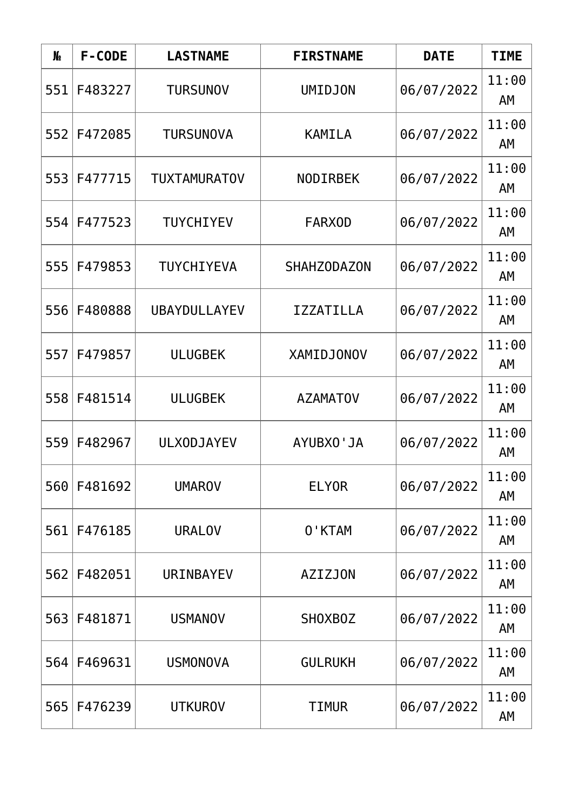| N <sub>o</sub> | F-CODE  | <b>LASTNAME</b>     | <b>FIRSTNAME</b>   | <b>DATE</b> | <b>TIME</b> |
|----------------|---------|---------------------|--------------------|-------------|-------------|
| 551            | F483227 | <b>TURSUNOV</b>     | <b>UMIDJON</b>     | 06/07/2022  | 11:00<br>AM |
| 552            | F472085 | <b>TURSUNOVA</b>    | <b>KAMILA</b>      | 06/07/2022  | 11:00<br>AM |
| 553            | F477715 | <b>TUXTAMURATOV</b> | <b>NODIRBEK</b>    | 06/07/2022  | 11:00<br>AM |
| 554            | F477523 | <b>TUYCHIYEV</b>    | <b>FARXOD</b>      | 06/07/2022  | 11:00<br>AM |
| 555            | F479853 | TUYCHIYEVA          | <b>SHAHZODAZON</b> | 06/07/2022  | 11:00<br>AM |
| 556            | F480888 | <b>UBAYDULLAYEV</b> | <b>IZZATILLA</b>   | 06/07/2022  | 11:00<br>AM |
| 557            | F479857 | <b>ULUGBEK</b>      | <b>XAMIDJONOV</b>  | 06/07/2022  | 11:00<br>AM |
| 558            | F481514 | <b>ULUGBEK</b>      | <b>AZAMATOV</b>    | 06/07/2022  | 11:00<br>AM |
| 559            | F482967 | <b>ULXODJAYEV</b>   | AYUBXO'JA          | 06/07/2022  | 11:00<br>AM |
| 560            | F481692 | <b>UMAROV</b>       | <b>ELYOR</b>       | 06/07/2022  | 11:00<br>AM |
| 561            | F476185 | <b>URALOV</b>       | 0'KTAM             | 06/07/2022  | 11:00<br>AΜ |
| 562            | F482051 | URINBAYEV           | <b>AZIZJON</b>     | 06/07/2022  | 11:00<br>AΜ |
| 563            | F481871 | <b>USMANOV</b>      | SHOXBOZ            | 06/07/2022  | 11:00<br>AM |
| 564            | F469631 | <b>USMONOVA</b>     | <b>GULRUKH</b>     | 06/07/2022  | 11:00<br>AM |
| 565            | F476239 | <b>UTKUROV</b>      | <b>TIMUR</b>       | 06/07/2022  | 11:00<br>AM |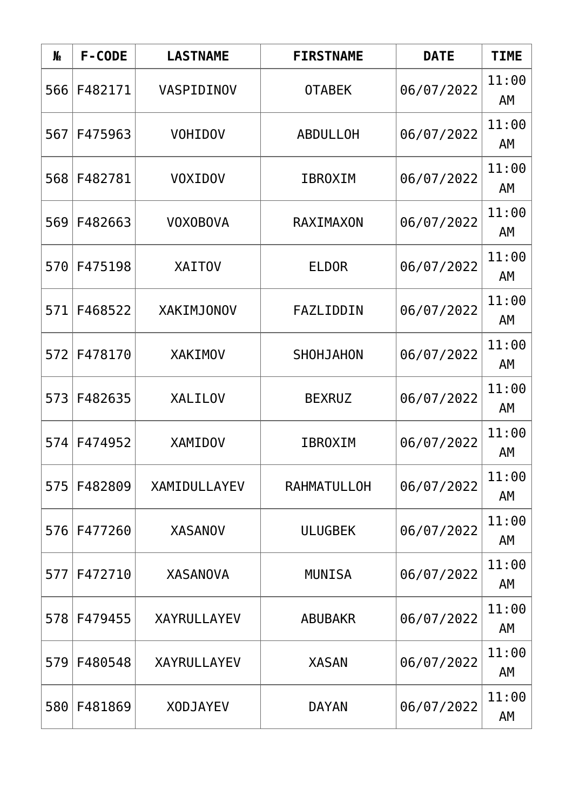| N <sub>o</sub> | F-CODE  | <b>LASTNAME</b>    | <b>FIRSTNAME</b>   | <b>DATE</b> | <b>TIME</b> |
|----------------|---------|--------------------|--------------------|-------------|-------------|
| 566            | F482171 | VASPIDINOV         | <b>OTABEK</b>      | 06/07/2022  | 11:00<br>AM |
| 567            | F475963 | <b>VOHIDOV</b>     | <b>ABDULLOH</b>    | 06/07/2022  | 11:00<br>AM |
| 568            | F482781 | <b>VOXIDOV</b>     | <b>IBROXIM</b>     | 06/07/2022  | 11:00<br>AΜ |
| 569            | F482663 | <b>VOXOBOVA</b>    | RAXIMAXON          | 06/07/2022  | 11:00<br>AM |
| 570            | F475198 | <b>XAITOV</b>      | <b>ELDOR</b>       | 06/07/2022  | 11:00<br>AM |
| 571            | F468522 | <b>XAKIMJONOV</b>  | FAZLIDDIN          | 06/07/2022  | 11:00<br>AM |
| 572            | F478170 | <b>XAKIMOV</b>     | SHOHJAHON          | 06/07/2022  | 11:00<br>AM |
| 573            | F482635 | <b>XALILOV</b>     | <b>BEXRUZ</b>      | 06/07/2022  | 11:00<br>AM |
| 574            | F474952 | <b>XAMIDOV</b>     | <b>IBROXIM</b>     | 06/07/2022  | 11:00<br>AΜ |
| 575            | F482809 | XAMIDULLAYEV       | <b>RAHMATULLOH</b> | 06/07/2022  | 11:00<br>AM |
| 576            | F477260 | <b>XASANOV</b>     | <b>ULUGBEK</b>     | 06/07/2022  | 11:00<br>AΜ |
| 577            | F472710 | <b>XASANOVA</b>    | <b>MUNISA</b>      | 06/07/2022  | 11:00<br>AΜ |
| 578            | F479455 | <b>XAYRULLAYEV</b> | <b>ABUBAKR</b>     | 06/07/2022  | 11:00<br>AM |
| 579            | F480548 | <b>XAYRULLAYEV</b> | <b>XASAN</b>       | 06/07/2022  | 11:00<br>AM |
| 580            | F481869 | <b>XODJAYEV</b>    | <b>DAYAN</b>       | 06/07/2022  | 11:00<br>AM |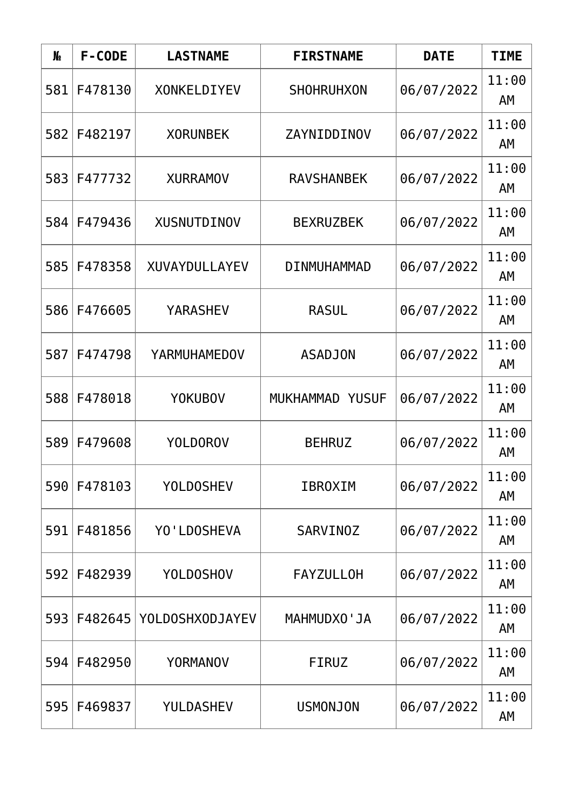| N <sub>o</sub> | F-CODE  | <b>LASTNAME</b>    | <b>FIRSTNAME</b>  | <b>DATE</b> | <b>TIME</b> |
|----------------|---------|--------------------|-------------------|-------------|-------------|
| 581            | F478130 | <b>XONKELDIYEV</b> | <b>SHOHRUHXON</b> | 06/07/2022  | 11:00<br>AM |
| 582            | F482197 | <b>XORUNBEK</b>    | ZAYNIDDINOV       | 06/07/2022  | 11:00<br>AM |
| 583            | F477732 | <b>XURRAMOV</b>    | <b>RAVSHANBEK</b> | 06/07/2022  | 11:00<br>AM |
| 584            | F479436 | <b>XUSNUTDINOV</b> | <b>BEXRUZBEK</b>  | 06/07/2022  | 11:00<br>AM |
| 585            | F478358 | XUVAYDULLAYEV      | DINMUHAMMAD       | 06/07/2022  | 11:00<br>AM |
| 586            | F476605 | <b>YARASHEV</b>    | <b>RASUL</b>      | 06/07/2022  | 11:00<br>AM |
| 587            | F474798 | YARMUHAMEDOV       | <b>ASADJON</b>    | 06/07/2022  | 11:00<br>AM |
| 588            | F478018 | <b>YOKUBOV</b>     | MUKHAMMAD YUSUF   | 06/07/2022  | 11:00<br>AM |
| 589            | F479608 | <b>YOLDOROV</b>    | <b>BEHRUZ</b>     | 06/07/2022  | 11:00<br>AM |
| 590            | F478103 | <b>YOLDOSHEV</b>   | <b>IBROXIM</b>    | 06/07/2022  | 11:00<br>AM |
| 591            | F481856 | YO'LDOSHEVA        | <b>SARVINOZ</b>   | 06/07/2022  | 11:00<br>AΜ |
| 592            | F482939 | <b>YOLDOSHOV</b>   | <b>FAYZULLOH</b>  | 06/07/2022  | 11:00<br>AΜ |
| 593            | F482645 | YOLDOSHXODJAYEV    | MAHMUDXO'JA       | 06/07/2022  | 11:00<br>AM |
| 594            | F482950 | <b>YORMANOV</b>    | <b>FIRUZ</b>      | 06/07/2022  | 11:00<br>AM |
| 595            | F469837 | YULDASHEV          | <b>USMONJON</b>   | 06/07/2022  | 11:00<br>AM |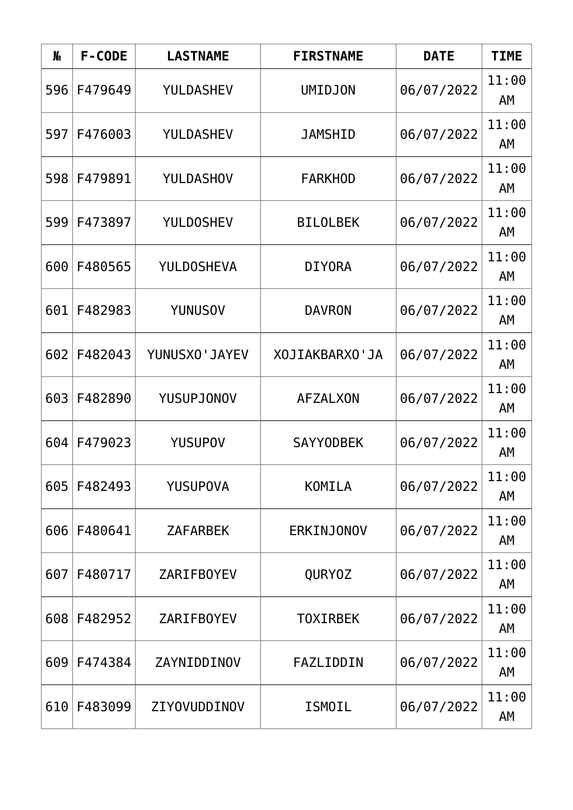| N <sub>o</sub> | F-CODE  | <b>LASTNAME</b>      | <b>FIRSTNAME</b>  | <b>DATE</b> | <b>TIME</b> |
|----------------|---------|----------------------|-------------------|-------------|-------------|
| 596            | F479649 | YULDASHEV            | <b>UMIDJON</b>    | 06/07/2022  | 11:00<br>AM |
| 597            | F476003 | <b>YULDASHEV</b>     | <b>JAMSHID</b>    | 06/07/2022  | 11:00<br>AM |
| 598            | F479891 | <b>YULDASHOV</b>     | <b>FARKHOD</b>    | 06/07/2022  | 11:00<br>AΜ |
| 599            | F473897 | <b>YULDOSHEV</b>     | <b>BILOLBEK</b>   | 06/07/2022  | 11:00<br>AM |
| 600            | F480565 | <b>YULDOSHEVA</b>    | <b>DIYORA</b>     | 06/07/2022  | 11:00<br>AM |
| 601            | F482983 | <b>YUNUSOV</b>       | <b>DAVRON</b>     | 06/07/2022  | 11:00<br>AM |
| 602            | F482043 | <b>YUNUSXO'JAYEV</b> | XOJIAKBARXO'JA    | 06/07/2022  | 11:00<br>AM |
| 603            | F482890 | <b>YUSUPJONOV</b>    | <b>AFZALXON</b>   | 06/07/2022  | 11:00<br>AM |
| 604            | F479023 | <b>YUSUPOV</b>       | <b>SAYYODBEK</b>  | 06/07/2022  | 11:00<br>AΜ |
| 605            | F482493 | <b>YUSUPOVA</b>      | KOMILA            | 06/07/2022  | 11:00<br>AM |
| 606            | F480641 | <b>ZAFARBEK</b>      | <b>ERKINJONOV</b> | 06/07/2022  | 11:00<br>AΜ |
| 607            | F480717 | <b>ZARIFBOYEV</b>    | <b>QURYOZ</b>     | 06/07/2022  | 11:00<br>AΜ |
| 608            | F482952 | <b>ZARIFBOYEV</b>    | <b>TOXIRBEK</b>   | 06/07/2022  | 11:00<br>AM |
| 609            | F474384 | ZAYNIDDINOV          | FAZLIDDIN         | 06/07/2022  | 11:00<br>AM |
| 610            | F483099 | ZIYOVUDDINOV         | <b>ISMOIL</b>     | 06/07/2022  | 11:00<br>AM |